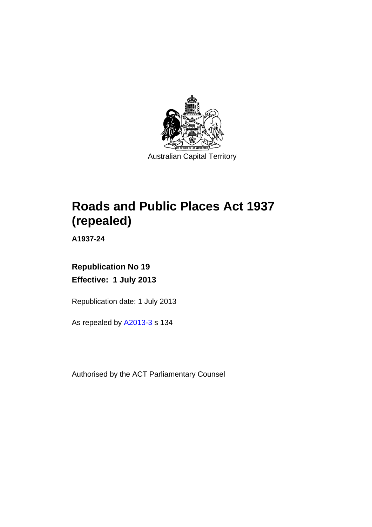

# **Roads and Public Places Act 1937 (repealed)**

**A1937-24** 

## **Republication No 19 Effective: 1 July 2013**

Republication date: 1 July 2013

As repealed by [A2013-3](http://www.legislation.act.gov.au/a/2013-3) s 134

Authorised by the ACT Parliamentary Counsel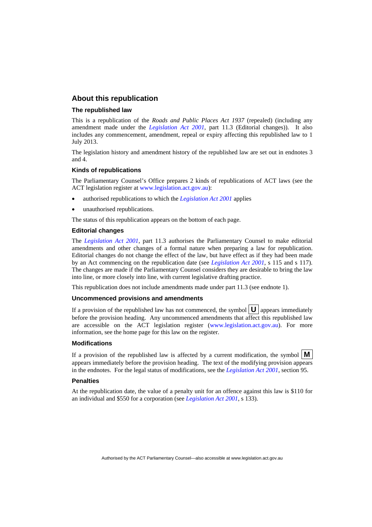## **About this republication**

#### **The republished law**

This is a republication of the *Roads and Public Places Act 1937* (repealed) (including any amendment made under the *[Legislation Act 2001](http://www.legislation.act.gov.au/a/2001-14)*, part 11.3 (Editorial changes)). It also includes any commencement, amendment, repeal or expiry affecting this republished law to 1 July 2013.

The legislation history and amendment history of the republished law are set out in endnotes 3 and 4.

#### **Kinds of republications**

The Parliamentary Counsel's Office prepares 2 kinds of republications of ACT laws (see the ACT legislation register at [www.legislation.act.gov.au](http://www.legislation.act.gov.au/)):

- authorised republications to which the *[Legislation Act 2001](http://www.legislation.act.gov.au/a/2001-14)* applies
- unauthorised republications.

The status of this republication appears on the bottom of each page.

#### **Editorial changes**

The *[Legislation Act 2001](http://www.legislation.act.gov.au/a/2001-14)*, part 11.3 authorises the Parliamentary Counsel to make editorial amendments and other changes of a formal nature when preparing a law for republication. Editorial changes do not change the effect of the law, but have effect as if they had been made by an Act commencing on the republication date (see *[Legislation Act 2001](http://www.legislation.act.gov.au/a/2001-14)*, s 115 and s 117). The changes are made if the Parliamentary Counsel considers they are desirable to bring the law into line, or more closely into line, with current legislative drafting practice.

This republication does not include amendments made under part 11.3 (see endnote 1).

#### **Uncommenced provisions and amendments**

If a provision of the republished law has not commenced, the symbol  $\mathbf{U}$  appears immediately before the provision heading. Any uncommenced amendments that affect this republished law are accessible on the ACT legislation register [\(www.legislation.act.gov.au\)](http://www.legislation.act.gov.au/). For more information, see the home page for this law on the register.

#### **Modifications**

If a provision of the republished law is affected by a current modification, the symbol  $\mathbf{M}$ appears immediately before the provision heading. The text of the modifying provision appears in the endnotes. For the legal status of modifications, see the *[Legislation Act 2001](http://www.legislation.act.gov.au/a/2001-14)*, section 95.

#### **Penalties**

At the republication date, the value of a penalty unit for an offence against this law is \$110 for an individual and \$550 for a corporation (see *[Legislation Act 2001](http://www.legislation.act.gov.au/a/2001-14)*, s 133).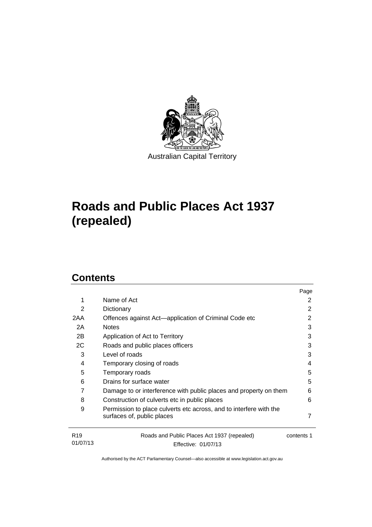

# **Roads and Public Places Act 1937 (repealed)**

## **Contents**

01/07/13

|                 |                                                                                                  | Page       |
|-----------------|--------------------------------------------------------------------------------------------------|------------|
| 1               | Name of Act                                                                                      | 2          |
| 2               | Dictionary                                                                                       | 2          |
| 2AA             | Offences against Act—application of Criminal Code etc                                            | 2          |
| 2A              | <b>Notes</b>                                                                                     | 3          |
| 2В              | Application of Act to Territory                                                                  | 3          |
| 2C              | Roads and public places officers                                                                 | 3          |
| 3               | Level of roads                                                                                   | 3          |
| 4               | Temporary closing of roads                                                                       | 4          |
| 5               | Temporary roads                                                                                  | 5          |
| 6               | Drains for surface water                                                                         | 5          |
| 7               | Damage to or interference with public places and property on them                                | 6          |
| 8               | Construction of culverts etc in public places                                                    | 6          |
| 9               | Permission to place culverts etc across, and to interfere with the<br>surfaces of, public places | 7          |
| R <sub>19</sub> | Roads and Public Places Act 1937 (repealed)                                                      | contents 1 |

Effective: 01/07/13

contents 1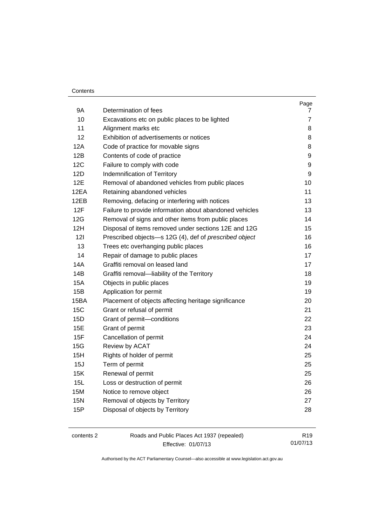## **Contents**

| 9Α         | Determination of fees                                   | Page<br>7      |
|------------|---------------------------------------------------------|----------------|
| 10         | Excavations etc on public places to be lighted          | $\overline{7}$ |
| 11         | Alignment marks etc                                     | 8              |
| 12         | Exhibition of advertisements or notices                 | 8              |
| 12A        | Code of practice for movable signs                      | 8              |
| 12B        | Contents of code of practice                            | 9              |
| 12C        | Failure to comply with code                             | 9              |
| 12D        | Indemnification of Territory                            | 9              |
| 12E        | Removal of abandoned vehicles from public places        | 10             |
| 12EA       | Retaining abandoned vehicles                            | 11             |
| 12EB       | Removing, defacing or interfering with notices          | 13             |
| 12F        | Failure to provide information about abandoned vehicles | 13             |
| 12G        | Removal of signs and other items from public places     | 14             |
| 12H        | Disposal of items removed under sections 12E and 12G    | 15             |
| 121        | Prescribed objects-s 12G (4), def of prescribed object  | 16             |
| 13         | Trees etc overhanging public places                     | 16             |
| 14         | Repair of damage to public places                       | 17             |
| <b>14A</b> | Graffiti removal on leased land                         | 17             |
| 14B        | Graffiti removal-liability of the Territory             | 18             |
| 15A        | Objects in public places                                | 19             |
| 15B        | Application for permit                                  | 19             |
| 15BA       | Placement of objects affecting heritage significance    | 20             |
| 15C        | Grant or refusal of permit                              | 21             |
| 15D        | Grant of permit-conditions                              | 22             |
| 15E        | Grant of permit                                         | 23             |
| 15F        | Cancellation of permit                                  | 24             |
| 15G        | Review by ACAT                                          | 24             |
| 15H        | Rights of holder of permit                              | 25             |
| 15J        | Term of permit                                          | 25             |
| 15K        | Renewal of permit                                       | 25             |
| 15L        | Loss or destruction of permit                           | 26             |
| <b>15M</b> | Notice to remove object                                 | 26             |
| <b>15N</b> | Removal of objects by Territory                         | 27             |
| 15P        | Disposal of objects by Territory                        | 28             |
|            |                                                         |                |

| contents 2 | Roads and Public Places Act 1937 (repealed) | R <sub>19</sub> |
|------------|---------------------------------------------|-----------------|
|            | Effective: 01/07/13                         | 01/07/13        |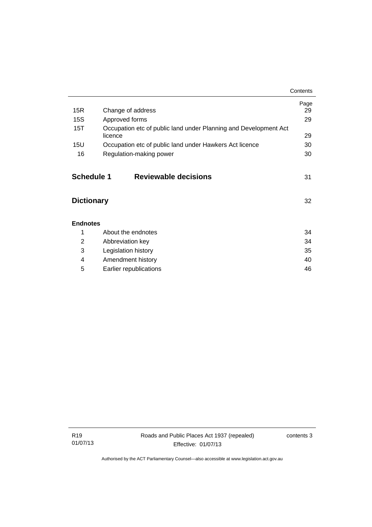|                   |                                                                             | Contents |
|-------------------|-----------------------------------------------------------------------------|----------|
|                   |                                                                             | Page     |
| 15R               | Change of address                                                           | 29       |
| 15S               | Approved forms                                                              | 29       |
| 15T               | Occupation etc of public land under Planning and Development Act<br>licence | 29       |
| 15U               | Occupation etc of public land under Hawkers Act licence                     | 30       |
| 16                | Regulation-making power                                                     | 30       |
|                   |                                                                             |          |
| <b>Schedule 1</b> | <b>Reviewable decisions</b>                                                 | 31       |
| <b>Dictionary</b> |                                                                             | 32       |
| <b>Endnotes</b>   |                                                                             |          |
| 1                 | About the endnotes                                                          | 34       |
| 2                 | Abbreviation key                                                            | 34       |
| 3                 | Legislation history                                                         |          |
| 4                 | Amendment history                                                           | 40       |
| 5                 | Earlier republications                                                      | 46       |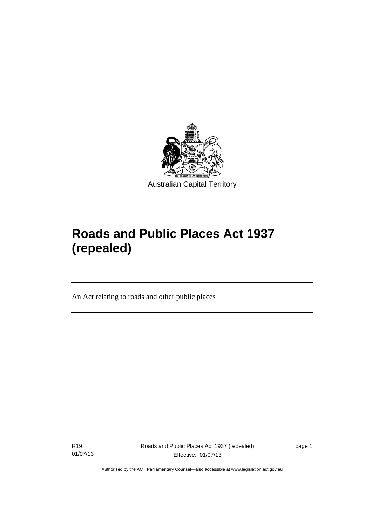

# **Roads and Public Places Act 1937 (repealed)**

An Act relating to roads and other public places

R19 01/07/13

Ī

page 1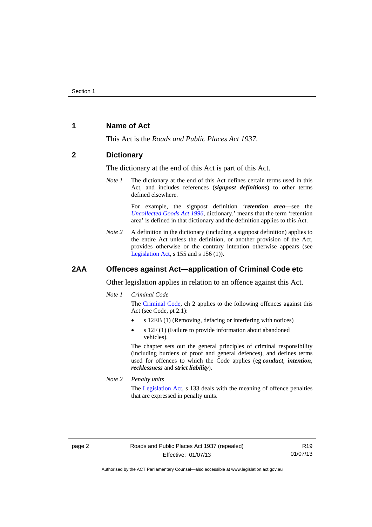## <span id="page-7-0"></span>**1 Name of Act**

This Act is the *Roads and Public Places Act 1937*.

### <span id="page-7-1"></span>**2 Dictionary**

The dictionary at the end of this Act is part of this Act.

*Note 1* The dictionary at the end of this Act defines certain terms used in this Act, and includes references (*signpost definitions*) to other terms defined elsewhere.

> For example, the signpost definition '*retention area*—see the *[Uncollected Goods Act 1996](http://www.legislation.act.gov.au/a/1996-86)*, dictionary.' means that the term 'retention area' is defined in that dictionary and the definition applies to this Act.

*Note 2* A definition in the dictionary (including a signpost definition) applies to the entire Act unless the definition, or another provision of the Act, provides otherwise or the contrary intention otherwise appears (see [Legislation Act,](http://www.legislation.act.gov.au/a/2001-14) s  $155$  and s  $156$  (1)).

## <span id="page-7-2"></span>**2AA Offences against Act—application of Criminal Code etc**

Other legislation applies in relation to an offence against this Act.

*Note 1 Criminal Code*

The [Criminal Code,](http://www.legislation.act.gov.au/a/2002-51) ch 2 applies to the following offences against this Act (see Code, pt 2.1):

- s 12EB (1) (Removing, defacing or interfering with notices)
- s 12F (1) (Failure to provide information about abandoned vehicles).

The chapter sets out the general principles of criminal responsibility (including burdens of proof and general defences), and defines terms used for offences to which the Code applies (eg *conduct*, *intention*, *recklessness* and *strict liability*).

*Note 2 Penalty units* 

The [Legislation Act](http://www.legislation.act.gov.au/a/2001-14), s 133 deals with the meaning of offence penalties that are expressed in penalty units.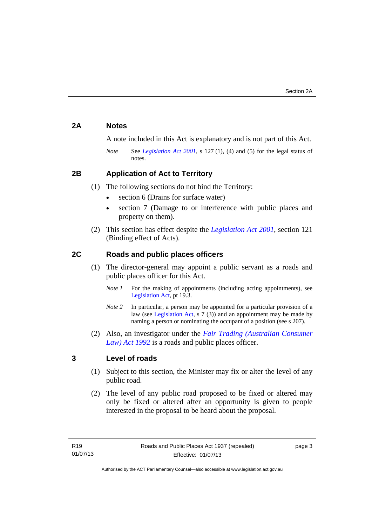## <span id="page-8-0"></span>**2A Notes**

A note included in this Act is explanatory and is not part of this Act.

*Note* See *[Legislation Act 2001](http://www.legislation.act.gov.au/a/2001-14)*, s 127 (1), (4) and (5) for the legal status of notes.

## <span id="page-8-1"></span>**2B Application of Act to Territory**

- (1) The following sections do not bind the Territory:
	- section 6 (Drains for surface water)
	- section 7 (Damage to or interference with public places and property on them).
- (2) This section has effect despite the *[Legislation Act 2001](http://www.legislation.act.gov.au/a/2001-14)*, section 121 (Binding effect of Acts).

## <span id="page-8-2"></span>**2C Roads and public places officers**

- (1) The director-general may appoint a public servant as a roads and public places officer for this Act.
	- *Note 1* For the making of appointments (including acting appointments), see [Legislation Act,](http://www.legislation.act.gov.au/a/2001-14) pt 19.3.
	- *Note* 2 In particular, a person may be appointed for a particular provision of a law (see [Legislation Act,](http://www.legislation.act.gov.au/a/2001-14) s 7 (3)) and an appointment may be made by naming a person or nominating the occupant of a position (see s 207).
- (2) Also, an investigator under the *[Fair Trading \(Australian Consumer](http://www.legislation.act.gov.au/a/1992-72)  [Law\) Act 1992](http://www.legislation.act.gov.au/a/1992-72)* is a roads and public places officer.

## <span id="page-8-3"></span>**3 Level of roads**

- (1) Subject to this section, the Minister may fix or alter the level of any public road.
- (2) The level of any public road proposed to be fixed or altered may only be fixed or altered after an opportunity is given to people interested in the proposal to be heard about the proposal.

page 3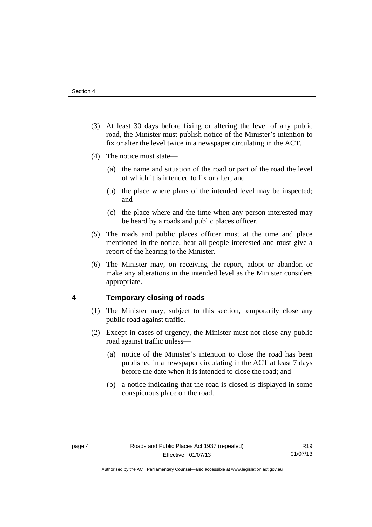- (3) At least 30 days before fixing or altering the level of any public road, the Minister must publish notice of the Minister's intention to fix or alter the level twice in a newspaper circulating in the ACT.
- (4) The notice must state—
	- (a) the name and situation of the road or part of the road the level of which it is intended to fix or alter; and
	- (b) the place where plans of the intended level may be inspected; and
	- (c) the place where and the time when any person interested may be heard by a roads and public places officer.
- (5) The roads and public places officer must at the time and place mentioned in the notice, hear all people interested and must give a report of the hearing to the Minister.
- (6) The Minister may, on receiving the report, adopt or abandon or make any alterations in the intended level as the Minister considers appropriate.

## <span id="page-9-0"></span>**4 Temporary closing of roads**

- (1) The Minister may, subject to this section, temporarily close any public road against traffic.
- (2) Except in cases of urgency, the Minister must not close any public road against traffic unless—
	- (a) notice of the Minister's intention to close the road has been published in a newspaper circulating in the ACT at least 7 days before the date when it is intended to close the road; and
	- (b) a notice indicating that the road is closed is displayed in some conspicuous place on the road.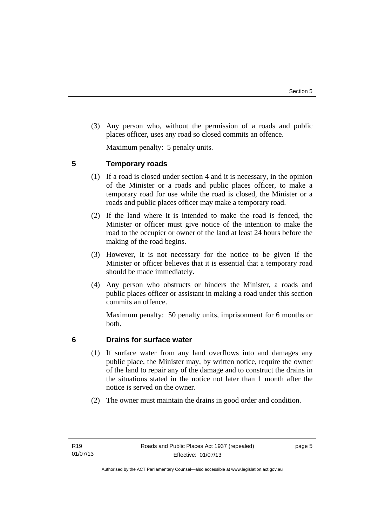(3) Any person who, without the permission of a roads and public places officer, uses any road so closed commits an offence.

Maximum penalty: 5 penalty units.

<span id="page-10-0"></span>**5 Temporary roads** 

- (1) If a road is closed under section 4 and it is necessary, in the opinion of the Minister or a roads and public places officer, to make a temporary road for use while the road is closed, the Minister or a roads and public places officer may make a temporary road.
- (2) If the land where it is intended to make the road is fenced, the Minister or officer must give notice of the intention to make the road to the occupier or owner of the land at least 24 hours before the making of the road begins.
- (3) However, it is not necessary for the notice to be given if the Minister or officer believes that it is essential that a temporary road should be made immediately.
- (4) Any person who obstructs or hinders the Minister, a roads and public places officer or assistant in making a road under this section commits an offence.

Maximum penalty: 50 penalty units, imprisonment for 6 months or both.

## <span id="page-10-1"></span>**6 Drains for surface water**

- (1) If surface water from any land overflows into and damages any public place, the Minister may, by written notice, require the owner of the land to repair any of the damage and to construct the drains in the situations stated in the notice not later than 1 month after the notice is served on the owner.
- (2) The owner must maintain the drains in good order and condition.

page 5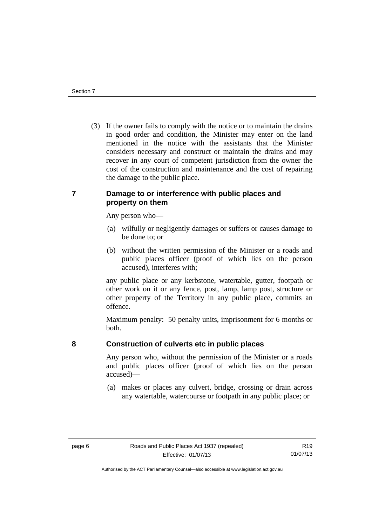(3) If the owner fails to comply with the notice or to maintain the drains in good order and condition, the Minister may enter on the land mentioned in the notice with the assistants that the Minister considers necessary and construct or maintain the drains and may recover in any court of competent jurisdiction from the owner the cost of the construction and maintenance and the cost of repairing the damage to the public place.

## <span id="page-11-0"></span>**7 Damage to or interference with public places and property on them**

Any person who—

- (a) wilfully or negligently damages or suffers or causes damage to be done to; or
- (b) without the written permission of the Minister or a roads and public places officer (proof of which lies on the person accused), interferes with;

any public place or any kerbstone, watertable, gutter, footpath or other work on it or any fence, post, lamp, lamp post, structure or other property of the Territory in any public place, commits an offence.

Maximum penalty: 50 penalty units, imprisonment for 6 months or both.

<span id="page-11-1"></span>

## **8 Construction of culverts etc in public places**

Any person who, without the permission of the Minister or a roads and public places officer (proof of which lies on the person accused)—

 (a) makes or places any culvert, bridge, crossing or drain across any watertable, watercourse or footpath in any public place; or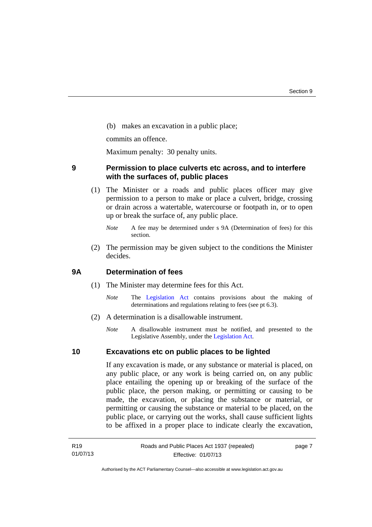(b) makes an excavation in a public place;

commits an offence.

Maximum penalty: 30 penalty units.

## <span id="page-12-0"></span>**9 Permission to place culverts etc across, and to interfere with the surfaces of, public places**

 (1) The Minister or a roads and public places officer may give permission to a person to make or place a culvert, bridge, crossing or drain across a watertable, watercourse or footpath in, or to open up or break the surface of, any public place.

 (2) The permission may be given subject to the conditions the Minister decides.

## <span id="page-12-1"></span>**9A Determination of fees**

- (1) The Minister may determine fees for this Act.
	- *Note* The [Legislation Act](http://www.legislation.act.gov.au/a/2001-14) contains provisions about the making of determinations and regulations relating to fees (see pt 6.3).
- (2) A determination is a disallowable instrument.
	- *Note* A disallowable instrument must be notified, and presented to the Legislative Assembly, under the [Legislation Act.](http://www.legislation.act.gov.au/a/2001-14)

#### <span id="page-12-2"></span>**10 Excavations etc on public places to be lighted**

If any excavation is made, or any substance or material is placed, on any public place, or any work is being carried on, on any public place entailing the opening up or breaking of the surface of the public place, the person making, or permitting or causing to be made, the excavation, or placing the substance or material, or permitting or causing the substance or material to be placed, on the public place, or carrying out the works, shall cause sufficient lights to be affixed in a proper place to indicate clearly the excavation,

page 7

*Note* A fee may be determined under s 9A (Determination of fees) for this section.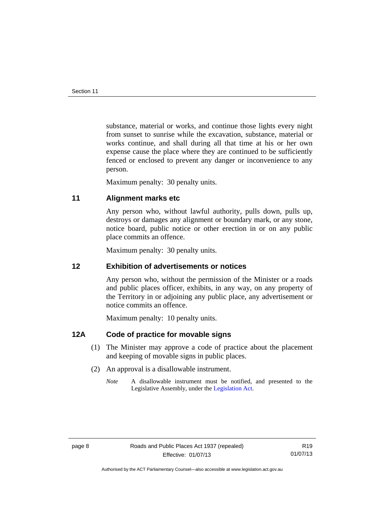substance, material or works, and continue those lights every night from sunset to sunrise while the excavation, substance, material or works continue, and shall during all that time at his or her own expense cause the place where they are continued to be sufficiently fenced or enclosed to prevent any danger or inconvenience to any person.

Maximum penalty: 30 penalty units.

## <span id="page-13-0"></span>**11 Alignment marks etc**

Any person who, without lawful authority, pulls down, pulls up, destroys or damages any alignment or boundary mark, or any stone, notice board, public notice or other erection in or on any public place commits an offence.

Maximum penalty: 30 penalty units.

### <span id="page-13-1"></span>**12 Exhibition of advertisements or notices**

Any person who, without the permission of the Minister or a roads and public places officer, exhibits, in any way, on any property of the Territory in or adjoining any public place, any advertisement or notice commits an offence.

Maximum penalty: 10 penalty units.

## <span id="page-13-2"></span>**12A Code of practice for movable signs**

- (1) The Minister may approve a code of practice about the placement and keeping of movable signs in public places.
- (2) An approval is a disallowable instrument.
	- *Note* A disallowable instrument must be notified, and presented to the Legislative Assembly, under the [Legislation Act.](http://www.legislation.act.gov.au/a/2001-14)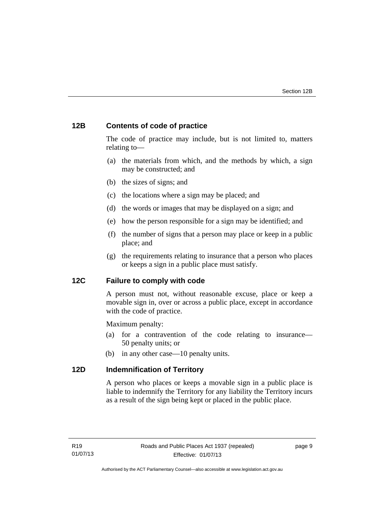## <span id="page-14-0"></span>**12B Contents of code of practice**

The code of practice may include, but is not limited to, matters relating to—

- (a) the materials from which, and the methods by which, a sign may be constructed; and
- (b) the sizes of signs; and
- (c) the locations where a sign may be placed; and
- (d) the words or images that may be displayed on a sign; and
- (e) how the person responsible for a sign may be identified; and
- (f) the number of signs that a person may place or keep in a public place; and
- (g) the requirements relating to insurance that a person who places or keeps a sign in a public place must satisfy.

## <span id="page-14-1"></span>**12C Failure to comply with code**

A person must not, without reasonable excuse, place or keep a movable sign in, over or across a public place, except in accordance with the code of practice.

Maximum penalty:

- (a) for a contravention of the code relating to insurance— 50 penalty units; or
- (b) in any other case—10 penalty units.

## <span id="page-14-2"></span>**12D Indemnification of Territory**

A person who places or keeps a movable sign in a public place is liable to indemnify the Territory for any liability the Territory incurs as a result of the sign being kept or placed in the public place.

page 9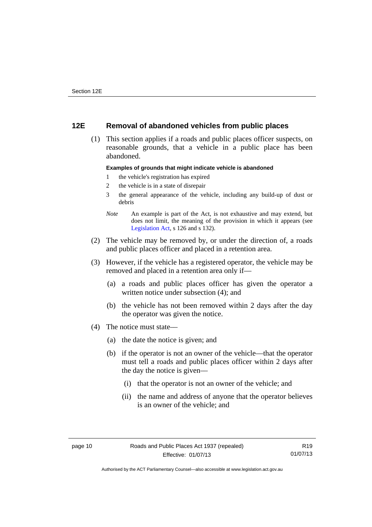## <span id="page-15-0"></span>**12E Removal of abandoned vehicles from public places**

 (1) This section applies if a roads and public places officer suspects, on reasonable grounds, that a vehicle in a public place has been abandoned.

#### **Examples of grounds that might indicate vehicle is abandoned**

- 1 the vehicle's registration has expired
- 2 the vehicle is in a state of disrepair
- 3 the general appearance of the vehicle, including any build-up of dust or debris
- *Note* An example is part of the Act, is not exhaustive and may extend, but does not limit, the meaning of the provision in which it appears (see [Legislation Act,](http://www.legislation.act.gov.au/a/2001-14) s 126 and s 132).
- (2) The vehicle may be removed by, or under the direction of, a roads and public places officer and placed in a retention area.
- (3) However, if the vehicle has a registered operator, the vehicle may be removed and placed in a retention area only if—
	- (a) a roads and public places officer has given the operator a written notice under subsection (4); and
	- (b) the vehicle has not been removed within 2 days after the day the operator was given the notice.
- (4) The notice must state––
	- (a) the date the notice is given; and
	- (b) if the operator is not an owner of the vehicle––that the operator must tell a roads and public places officer within 2 days after the day the notice is given––
		- (i) that the operator is not an owner of the vehicle; and
		- (ii) the name and address of anyone that the operator believes is an owner of the vehicle; and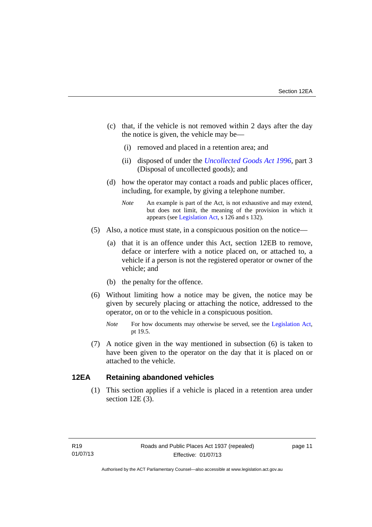- (c) that, if the vehicle is not removed within 2 days after the day the notice is given, the vehicle may be––
	- (i) removed and placed in a retention area; and
	- (ii) disposed of under the *[Uncollected Goods Act 1996](http://www.legislation.act.gov.au/a/1996-86)*, part 3 (Disposal of uncollected goods); and
- (d) how the operator may contact a roads and public places officer, including, for example, by giving a telephone number.
	- *Note* An example is part of the Act, is not exhaustive and may extend, but does not limit, the meaning of the provision in which it appears (see [Legislation Act,](http://www.legislation.act.gov.au/a/2001-14) s 126 and s 132).
- (5) Also, a notice must state, in a conspicuous position on the notice—
	- (a) that it is an offence under this Act, section 12EB to remove, deface or interfere with a notice placed on, or attached to, a vehicle if a person is not the registered operator or owner of the vehicle; and
	- (b) the penalty for the offence.
- (6) Without limiting how a notice may be given, the notice may be given by securely placing or attaching the notice, addressed to the operator, on or to the vehicle in a conspicuous position.
	- *Note* For how documents may otherwise be served, see the [Legislation Act,](http://www.legislation.act.gov.au/a/2001-14) pt 19.5.
- (7) A notice given in the way mentioned in subsection (6) is taken to have been given to the operator on the day that it is placed on or attached to the vehicle.

## <span id="page-16-0"></span>**12EA Retaining abandoned vehicles**

 (1) This section applies if a vehicle is placed in a retention area under section 12E (3).

page 11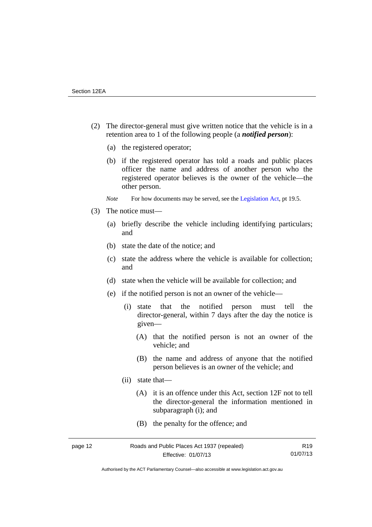- (2) The director-general must give written notice that the vehicle is in a retention area to 1 of the following people (a *notified person*):
	- (a) the registered operator;
	- (b) if the registered operator has told a roads and public places officer the name and address of another person who the registered operator believes is the owner of the vehicle—the other person.
	- *Note* For how documents may be served, see the [Legislation Act,](http://www.legislation.act.gov.au/a/2001-14) pt 19.5.
- (3) The notice must––
	- (a) briefly describe the vehicle including identifying particulars; and
	- (b) state the date of the notice; and
	- (c) state the address where the vehicle is available for collection; and
	- (d) state when the vehicle will be available for collection; and
	- (e) if the notified person is not an owner of the vehicle—
		- (i) state that the notified person must tell the director-general, within 7 days after the day the notice is given—
			- (A) that the notified person is not an owner of the vehicle; and
			- (B) the name and address of anyone that the notified person believes is an owner of the vehicle; and
		- (ii) state that—
			- (A) it is an offence under this Act, section 12F not to tell the director-general the information mentioned in subparagraph (i); and
			- (B) the penalty for the offence; and

R19 01/07/13

Authorised by the ACT Parliamentary Counsel—also accessible at www.legislation.act.gov.au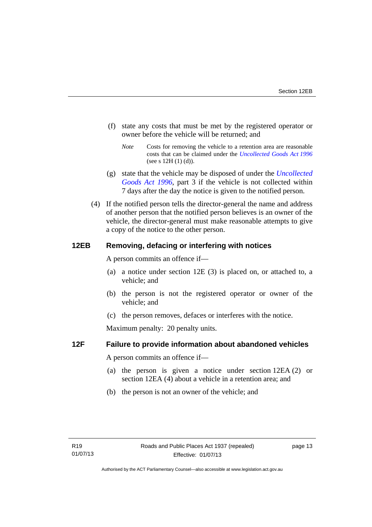- (f) state any costs that must be met by the registered operator or owner before the vehicle will be returned; and
	- *Note* Costs for removing the vehicle to a retention area are reasonable costs that can be claimed under the *[Uncollected Goods Act 1996](http://www.legislation.act.gov.au/a/1996-86)* (see s  $12H(1)(d)$ ).
- (g) state that the vehicle may be disposed of under the *[Uncollected](http://www.legislation.act.gov.au/a/1996-86)  [Goods Act 1996](http://www.legislation.act.gov.au/a/1996-86)*, part 3 if the vehicle is not collected within 7 days after the day the notice is given to the notified person.
- (4) If the notified person tells the director-general the name and address of another person that the notified person believes is an owner of the vehicle, the director-general must make reasonable attempts to give a copy of the notice to the other person.

## <span id="page-18-0"></span>**12EB Removing, defacing or interfering with notices**

A person commits an offence if—

- (a) a notice under section 12E (3) is placed on, or attached to, a vehicle; and
- (b) the person is not the registered operator or owner of the vehicle; and
- (c) the person removes, defaces or interferes with the notice.

Maximum penalty: 20 penalty units.

## <span id="page-18-1"></span>**12F Failure to provide information about abandoned vehicles**

A person commits an offence if-

- (a) the person is given a notice under section 12EA (2) or section 12EA (4) about a vehicle in a retention area; and
- (b) the person is not an owner of the vehicle; and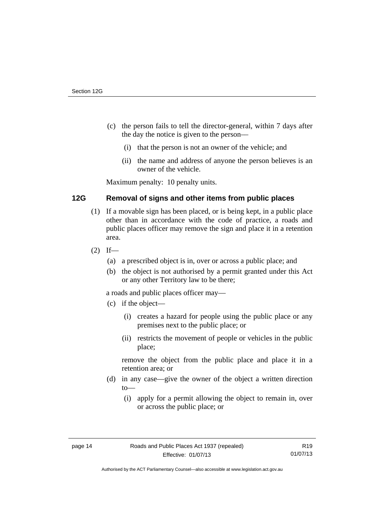- (c) the person fails to tell the director-general, within 7 days after the day the notice is given to the person––
	- (i) that the person is not an owner of the vehicle; and
	- (ii) the name and address of anyone the person believes is an owner of the vehicle.

Maximum penalty: 10 penalty units.

## <span id="page-19-0"></span>**12G Removal of signs and other items from public places**

- (1) If a movable sign has been placed, or is being kept, in a public place other than in accordance with the code of practice, a roads and public places officer may remove the sign and place it in a retention area.
- $(2)$  If—
	- (a) a prescribed object is in, over or across a public place; and
	- (b) the object is not authorised by a permit granted under this Act or any other Territory law to be there;

a roads and public places officer may—

- (c) if the object—
	- (i) creates a hazard for people using the public place or any premises next to the public place; or
	- (ii) restricts the movement of people or vehicles in the public place;

remove the object from the public place and place it in a retention area; or

- (d) in any case—give the owner of the object a written direction to—
	- (i) apply for a permit allowing the object to remain in, over or across the public place; or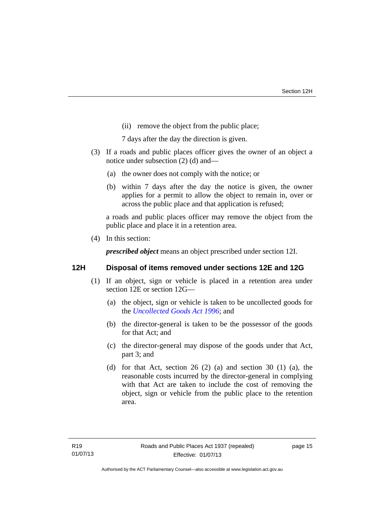(ii) remove the object from the public place;

7 days after the day the direction is given.

- (3) If a roads and public places officer gives the owner of an object a notice under subsection (2) (d) and—
	- (a) the owner does not comply with the notice; or
	- (b) within 7 days after the day the notice is given, the owner applies for a permit to allow the object to remain in, over or across the public place and that application is refused;

a roads and public places officer may remove the object from the public place and place it in a retention area.

(4) In this section:

*prescribed object* means an object prescribed under section 12I.

## <span id="page-20-0"></span>**12H Disposal of items removed under sections 12E and 12G**

- (1) If an object, sign or vehicle is placed in a retention area under section 12E or section 12G—
	- (a) the object, sign or vehicle is taken to be uncollected goods for the *[Uncollected Goods Act 1996](http://www.legislation.act.gov.au/a/1996-86)*; and
	- (b) the director-general is taken to be the possessor of the goods for that Act; and
	- (c) the director-general may dispose of the goods under that Act, part 3; and
	- (d) for that Act, section 26 (2) (a) and section 30 (1) (a), the reasonable costs incurred by the director-general in complying with that Act are taken to include the cost of removing the object, sign or vehicle from the public place to the retention area.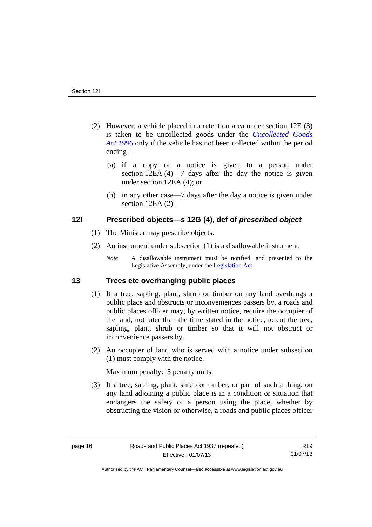- (2) However, a vehicle placed in a retention area under section 12E (3) is taken to be uncollected goods under the *[Uncollected Goods](http://www.legislation.act.gov.au/a/1996-86)  [Act 1996](http://www.legislation.act.gov.au/a/1996-86)* only if the vehicle has not been collected within the period ending––
	- (a) if a copy of a notice is given to a person under section 12EA (4)—7 days after the day the notice is given under section 12EA (4); or
	- (b) in any other case––7 days after the day a notice is given under section 12EA (2).

## <span id="page-21-0"></span>**12I Prescribed objects—s 12G (4), def of** *prescribed object*

- (1) The Minister may prescribe objects.
- (2) An instrument under subsection (1) is a disallowable instrument.
	- *Note* A disallowable instrument must be notified, and presented to the Legislative Assembly, under the [Legislation Act.](http://www.legislation.act.gov.au/a/2001-14)

## <span id="page-21-1"></span>**13 Trees etc overhanging public places**

- (1) If a tree, sapling, plant, shrub or timber on any land overhangs a public place and obstructs or inconveniences passers by, a roads and public places officer may, by written notice, require the occupier of the land, not later than the time stated in the notice, to cut the tree, sapling, plant, shrub or timber so that it will not obstruct or inconvenience passers by.
- (2) An occupier of land who is served with a notice under subsection (1) must comply with the notice.

Maximum penalty: 5 penalty units.

 (3) If a tree, sapling, plant, shrub or timber, or part of such a thing, on any land adjoining a public place is in a condition or situation that endangers the safety of a person using the place, whether by obstructing the vision or otherwise, a roads and public places officer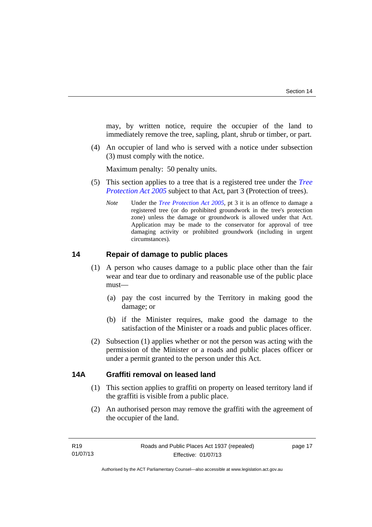may, by written notice, require the occupier of the land to immediately remove the tree, sapling, plant, shrub or timber, or part.

 (4) An occupier of land who is served with a notice under subsection (3) must comply with the notice.

Maximum penalty: 50 penalty units.

- (5) This section applies to a tree that is a registered tree under the *[Tree](http://www.legislation.act.gov.au/a/2005-51)  [Protection Act 2005](http://www.legislation.act.gov.au/a/2005-51)* subject to that Act, part 3 (Protection of trees).
	- *Note* Under the *[Tree Protection Act 2005](http://www.legislation.act.gov.au/a/2005-51)*, pt 3 it is an offence to damage a registered tree (or do prohibited groundwork in the tree's protection zone) unless the damage or groundwork is allowed under that Act. Application may be made to the conservator for approval of tree damaging activity or prohibited groundwork (including in urgent circumstances).

## <span id="page-22-0"></span>**14 Repair of damage to public places**

- (1) A person who causes damage to a public place other than the fair wear and tear due to ordinary and reasonable use of the public place must—
	- (a) pay the cost incurred by the Territory in making good the damage; or
	- (b) if the Minister requires, make good the damage to the satisfaction of the Minister or a roads and public places officer.
- (2) Subsection (1) applies whether or not the person was acting with the permission of the Minister or a roads and public places officer or under a permit granted to the person under this Act.

## <span id="page-22-1"></span>**14A Graffiti removal on leased land**

- (1) This section applies to graffiti on property on leased territory land if the graffiti is visible from a public place.
- (2) An authorised person may remove the graffiti with the agreement of the occupier of the land.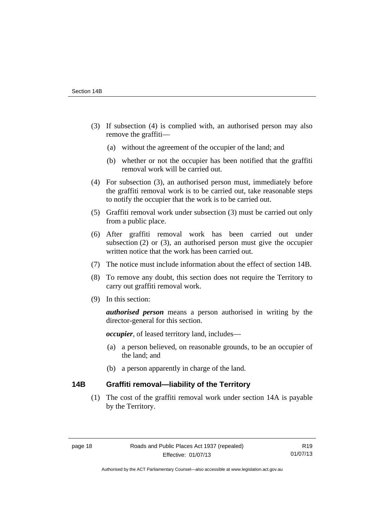- (3) If subsection (4) is complied with, an authorised person may also remove the graffiti—
	- (a) without the agreement of the occupier of the land; and
	- (b) whether or not the occupier has been notified that the graffiti removal work will be carried out.
- (4) For subsection (3), an authorised person must, immediately before the graffiti removal work is to be carried out, take reasonable steps to notify the occupier that the work is to be carried out.
- (5) Graffiti removal work under subsection (3) must be carried out only from a public place.
- (6) After graffiti removal work has been carried out under subsection (2) or (3), an authorised person must give the occupier written notice that the work has been carried out.
- (7) The notice must include information about the effect of section 14B.
- (8) To remove any doubt, this section does not require the Territory to carry out graffiti removal work.
- (9) In this section:

*authorised person* means a person authorised in writing by the director-general for this section.

*occupier*, of leased territory land, includes—

- (a) a person believed, on reasonable grounds, to be an occupier of the land; and
- (b) a person apparently in charge of the land.

## <span id="page-23-0"></span>**14B Graffiti removal—liability of the Territory**

 (1) The cost of the graffiti removal work under section 14A is payable by the Territory.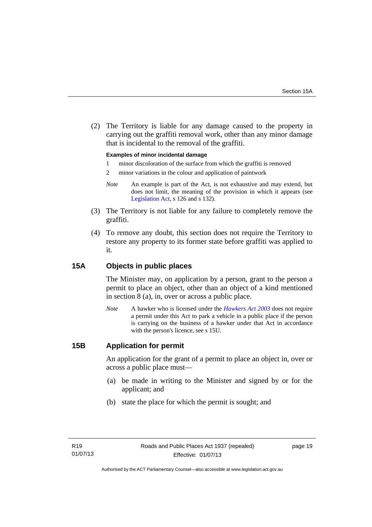(2) The Territory is liable for any damage caused to the property in carrying out the graffiti removal work, other than any minor damage that is incidental to the removal of the graffiti.

#### **Examples of minor incidental damage**

- 1 minor discoloration of the surface from which the graffiti is removed
- 2 minor variations in the colour and application of paintwork
- *Note* An example is part of the Act, is not exhaustive and may extend, but does not limit, the meaning of the provision in which it appears (see [Legislation Act,](http://www.legislation.act.gov.au/a/2001-14) s 126 and s 132).
- (3) The Territory is not liable for any failure to completely remove the graffiti.
- (4) To remove any doubt, this section does not require the Territory to restore any property to its former state before graffiti was applied to it.

## <span id="page-24-0"></span>**15A Objects in public places**

The Minister may, on application by a person, grant to the person a permit to place an object, other than an object of a kind mentioned in section 8 (a), in, over or across a public place.

*Note* A hawker who is licensed under the *[Hawkers Act 2003](http://www.legislation.act.gov.au/a/2003-10)* does not require a permit under this Act to park a vehicle in a public place if the person is carrying on the business of a hawker under that Act in accordance with the person's licence, see s 15U.

## <span id="page-24-1"></span>**15B Application for permit**

An application for the grant of a permit to place an object in, over or across a public place must—

- (a) be made in writing to the Minister and signed by or for the applicant; and
- (b) state the place for which the permit is sought; and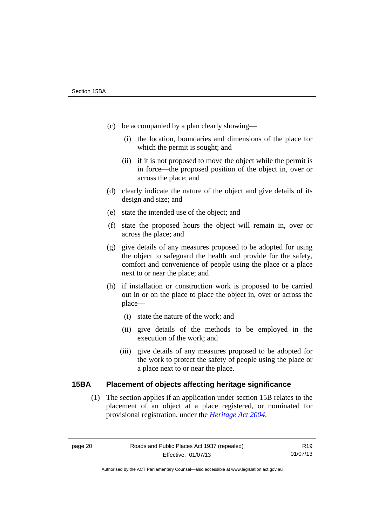- (c) be accompanied by a plan clearly showing—
	- (i) the location, boundaries and dimensions of the place for which the permit is sought; and
	- (ii) if it is not proposed to move the object while the permit is in force—the proposed position of the object in, over or across the place; and
- (d) clearly indicate the nature of the object and give details of its design and size; and
- (e) state the intended use of the object; and
- (f) state the proposed hours the object will remain in, over or across the place; and
- (g) give details of any measures proposed to be adopted for using the object to safeguard the health and provide for the safety, comfort and convenience of people using the place or a place next to or near the place; and
- (h) if installation or construction work is proposed to be carried out in or on the place to place the object in, over or across the place—
	- (i) state the nature of the work; and
	- (ii) give details of the methods to be employed in the execution of the work; and
	- (iii) give details of any measures proposed to be adopted for the work to protect the safety of people using the place or a place next to or near the place.

## <span id="page-25-0"></span>**15BA Placement of objects affecting heritage significance**

 (1) The section applies if an application under section 15B relates to the placement of an object at a place registered, or nominated for provisional registration, under the *[Heritage Act 2004](http://www.legislation.act.gov.au/a/2004-57)*.

Authorised by the ACT Parliamentary Counsel—also accessible at www.legislation.act.gov.au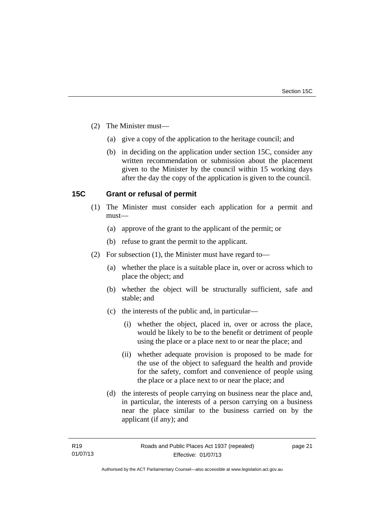- (2) The Minister must—
	- (a) give a copy of the application to the heritage council; and
	- (b) in deciding on the application under section 15C, consider any written recommendation or submission about the placement given to the Minister by the council within 15 working days after the day the copy of the application is given to the council.

## <span id="page-26-0"></span>**15C Grant or refusal of permit**

- (1) The Minister must consider each application for a permit and must—
	- (a) approve of the grant to the applicant of the permit; or
	- (b) refuse to grant the permit to the applicant.
- (2) For subsection (1), the Minister must have regard to—
	- (a) whether the place is a suitable place in, over or across which to place the object; and
	- (b) whether the object will be structurally sufficient, safe and stable; and
	- (c) the interests of the public and, in particular—
		- (i) whether the object, placed in, over or across the place, would be likely to be to the benefit or detriment of people using the place or a place next to or near the place; and
		- (ii) whether adequate provision is proposed to be made for the use of the object to safeguard the health and provide for the safety, comfort and convenience of people using the place or a place next to or near the place; and
	- (d) the interests of people carrying on business near the place and, in particular, the interests of a person carrying on a business near the place similar to the business carried on by the applicant (if any); and

page 21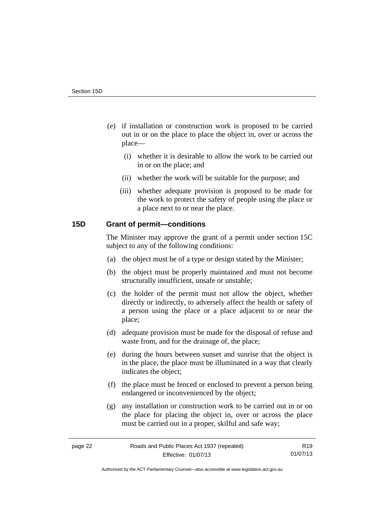- (e) if installation or construction work is proposed to be carried out in or on the place to place the object in, over or across the place—
	- (i) whether it is desirable to allow the work to be carried out in or on the place; and
	- (ii) whether the work will be suitable for the purpose; and
	- (iii) whether adequate provision is proposed to be made for the work to protect the safety of people using the place or a place next to or near the place.

## <span id="page-27-0"></span>**15D Grant of permit—conditions**

The Minister may approve the grant of a permit under section 15C subject to any of the following conditions:

- (a) the object must be of a type or design stated by the Minister;
- (b) the object must be properly maintained and must not become structurally insufficient, unsafe or unstable;
- (c) the holder of the permit must not allow the object, whether directly or indirectly, to adversely affect the health or safety of a person using the place or a place adjacent to or near the place;
- (d) adequate provision must be made for the disposal of refuse and waste from, and for the drainage of, the place;
- (e) during the hours between sunset and sunrise that the object is in the place, the place must be illuminated in a way that clearly indicates the object;
- (f) the place must be fenced or enclosed to prevent a person being endangered or inconvenienced by the object;
- (g) any installation or construction work to be carried out in or on the place for placing the object in, over or across the place must be carried out in a proper, skilful and safe way;

R19 01/07/13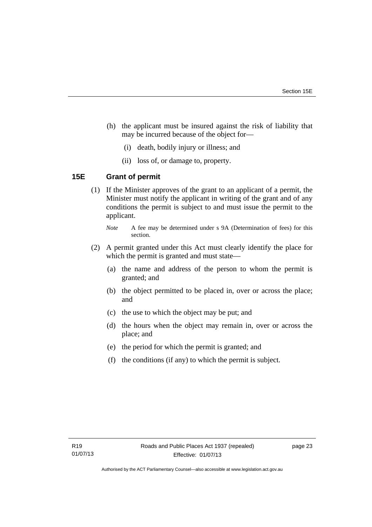- (h) the applicant must be insured against the risk of liability that may be incurred because of the object for—
	- (i) death, bodily injury or illness; and
	- (ii) loss of, or damage to, property.

## <span id="page-28-0"></span>**15E Grant of permit**

 (1) If the Minister approves of the grant to an applicant of a permit, the Minister must notify the applicant in writing of the grant and of any conditions the permit is subject to and must issue the permit to the applicant.

- (2) A permit granted under this Act must clearly identify the place for which the permit is granted and must state—
	- (a) the name and address of the person to whom the permit is granted; and
	- (b) the object permitted to be placed in, over or across the place; and
	- (c) the use to which the object may be put; and
	- (d) the hours when the object may remain in, over or across the place; and
	- (e) the period for which the permit is granted; and
	- (f) the conditions (if any) to which the permit is subject.

*Note* A fee may be determined under s 9A (Determination of fees) for this section.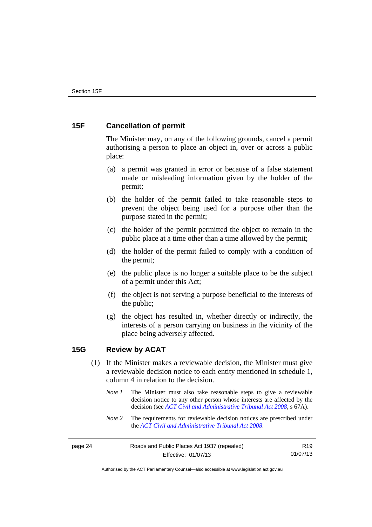## <span id="page-29-0"></span>**15F Cancellation of permit**

The Minister may, on any of the following grounds, cancel a permit authorising a person to place an object in, over or across a public place:

- (a) a permit was granted in error or because of a false statement made or misleading information given by the holder of the permit;
- (b) the holder of the permit failed to take reasonable steps to prevent the object being used for a purpose other than the purpose stated in the permit;
- (c) the holder of the permit permitted the object to remain in the public place at a time other than a time allowed by the permit;
- (d) the holder of the permit failed to comply with a condition of the permit;
- (e) the public place is no longer a suitable place to be the subject of a permit under this Act;
- (f) the object is not serving a purpose beneficial to the interests of the public;
- (g) the object has resulted in, whether directly or indirectly, the interests of a person carrying on business in the vicinity of the place being adversely affected.

## <span id="page-29-1"></span>**15G Review by ACAT**

- (1) If the Minister makes a reviewable decision, the Minister must give a reviewable decision notice to each entity mentioned in schedule 1, column 4 in relation to the decision.
	- *Note 1* The Minister must also take reasonable steps to give a reviewable decision notice to any other person whose interests are affected by the decision (see *[ACT Civil and Administrative Tribunal Act 2008](http://www.legislation.act.gov.au/a/2008-35)*, s 67A).
	- *Note* 2 The requirements for reviewable decision notices are prescribed under the *[ACT Civil and Administrative Tribunal Act 2008](http://www.legislation.act.gov.au/a/2008-35)*.

page 24 Roads and Public Places Act 1937 (repealed) Effective: 01/07/13

R19 01/07/13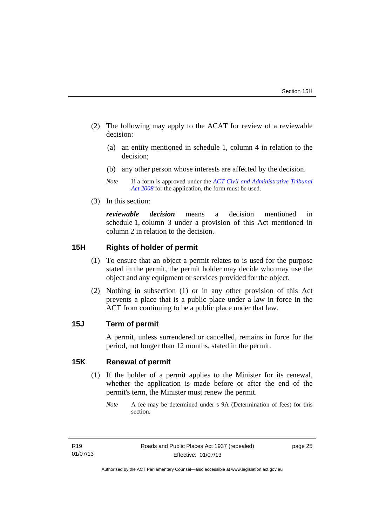- (2) The following may apply to the ACAT for review of a reviewable decision:
	- (a) an entity mentioned in schedule 1, column 4 in relation to the decision;
	- (b) any other person whose interests are affected by the decision.
	- *Note* If a form is approved under the *[ACT Civil and Administrative Tribunal](http://www.legislation.act.gov.au/a/2008-35)  [Act 2008](http://www.legislation.act.gov.au/a/2008-35)* for the application, the form must be used.
- (3) In this section:

*reviewable decision* means a decision mentioned in schedule 1, column 3 under a provision of this Act mentioned in column 2 in relation to the decision.

## <span id="page-30-0"></span>**15H Rights of holder of permit**

- (1) To ensure that an object a permit relates to is used for the purpose stated in the permit, the permit holder may decide who may use the object and any equipment or services provided for the object.
- (2) Nothing in subsection (1) or in any other provision of this Act prevents a place that is a public place under a law in force in the ACT from continuing to be a public place under that law.

## <span id="page-30-1"></span>**15J Term of permit**

A permit, unless surrendered or cancelled, remains in force for the period, not longer than 12 months, stated in the permit.

## <span id="page-30-2"></span>**15K Renewal of permit**

 (1) If the holder of a permit applies to the Minister for its renewal, whether the application is made before or after the end of the permit's term, the Minister must renew the permit.

*Note* A fee may be determined under s 9A (Determination of fees) for this section.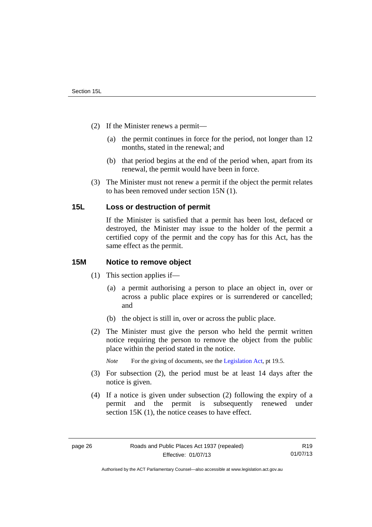- (2) If the Minister renews a permit—
	- (a) the permit continues in force for the period, not longer than 12 months, stated in the renewal; and
	- (b) that period begins at the end of the period when, apart from its renewal, the permit would have been in force.
- (3) The Minister must not renew a permit if the object the permit relates to has been removed under section 15N (1).

## <span id="page-31-0"></span>**15L Loss or destruction of permit**

If the Minister is satisfied that a permit has been lost, defaced or destroyed, the Minister may issue to the holder of the permit a certified copy of the permit and the copy has for this Act, has the same effect as the permit.

#### <span id="page-31-1"></span>**15M Notice to remove object**

- (1) This section applies if—
	- (a) a permit authorising a person to place an object in, over or across a public place expires or is surrendered or cancelled; and
	- (b) the object is still in, over or across the public place.
- (2) The Minister must give the person who held the permit written notice requiring the person to remove the object from the public place within the period stated in the notice.

*Note* For the giving of documents, see the [Legislation Act](http://www.legislation.act.gov.au/a/2001-14), pt 19.5.

- (3) For subsection (2), the period must be at least 14 days after the notice is given.
- (4) If a notice is given under subsection (2) following the expiry of a permit and the permit is subsequently renewed under section 15K (1), the notice ceases to have effect.

Authorised by the ACT Parliamentary Counsel—also accessible at www.legislation.act.gov.au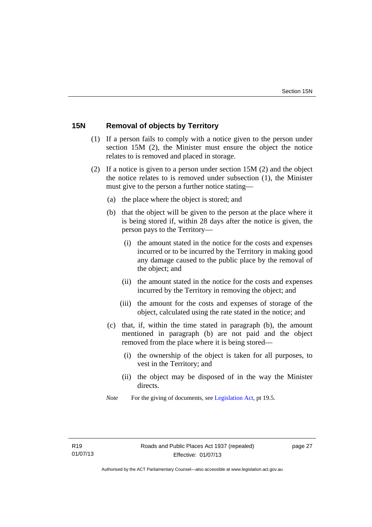## <span id="page-32-0"></span>**15N Removal of objects by Territory**

- (1) If a person fails to comply with a notice given to the person under section 15M (2), the Minister must ensure the object the notice relates to is removed and placed in storage.
- (2) If a notice is given to a person under section 15M (2) and the object the notice relates to is removed under subsection (1), the Minister must give to the person a further notice stating—
	- (a) the place where the object is stored; and
	- (b) that the object will be given to the person at the place where it is being stored if, within 28 days after the notice is given, the person pays to the Territory—
		- (i) the amount stated in the notice for the costs and expenses incurred or to be incurred by the Territory in making good any damage caused to the public place by the removal of the object; and
		- (ii) the amount stated in the notice for the costs and expenses incurred by the Territory in removing the object; and
		- (iii) the amount for the costs and expenses of storage of the object, calculated using the rate stated in the notice; and
	- (c) that, if, within the time stated in paragraph (b), the amount mentioned in paragraph (b) are not paid and the object removed from the place where it is being stored—
		- (i) the ownership of the object is taken for all purposes, to vest in the Territory; and
		- (ii) the object may be disposed of in the way the Minister directs.
	- *Note* For the giving of documents, see [Legislation Act,](http://www.legislation.act.gov.au/a/2001-14) pt 19.5.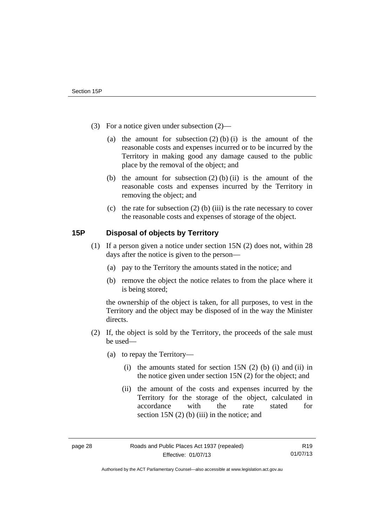- (3) For a notice given under subsection (2)—
	- (a) the amount for subsection  $(2)$  (b) (i) is the amount of the reasonable costs and expenses incurred or to be incurred by the Territory in making good any damage caused to the public place by the removal of the object; and
	- (b) the amount for subsection  $(2)$  (b) (ii) is the amount of the reasonable costs and expenses incurred by the Territory in removing the object; and
	- (c) the rate for subsection  $(2)$  (b) (iii) is the rate necessary to cover the reasonable costs and expenses of storage of the object.

## <span id="page-33-0"></span>**15P Disposal of objects by Territory**

- (1) If a person given a notice under section 15N (2) does not, within 28 days after the notice is given to the person—
	- (a) pay to the Territory the amounts stated in the notice; and
	- (b) remove the object the notice relates to from the place where it is being stored;

the ownership of the object is taken, for all purposes, to vest in the Territory and the object may be disposed of in the way the Minister directs.

- (2) If, the object is sold by the Territory, the proceeds of the sale must be used—
	- (a) to repay the Territory—
		- (i) the amounts stated for section  $15N(2)$  (b) (i) and (ii) in the notice given under section 15N (2) for the object; and
		- (ii) the amount of the costs and expenses incurred by the Territory for the storage of the object, calculated in accordance with the rate stated for section 15N (2) (b) (iii) in the notice; and

Authorised by the ACT Parliamentary Counsel—also accessible at www.legislation.act.gov.au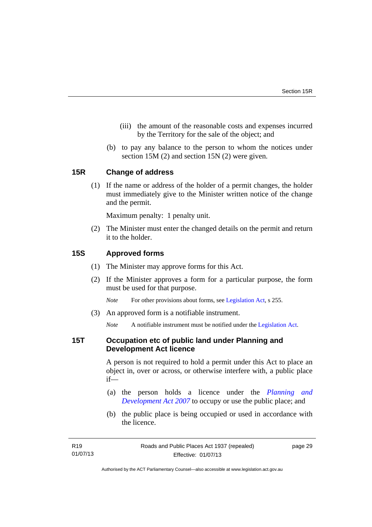- (iii) the amount of the reasonable costs and expenses incurred by the Territory for the sale of the object; and
- (b) to pay any balance to the person to whom the notices under section 15M (2) and section 15N (2) were given.

## <span id="page-34-0"></span>**15R Change of address**

 (1) If the name or address of the holder of a permit changes, the holder must immediately give to the Minister written notice of the change and the permit.

Maximum penalty: 1 penalty unit.

 (2) The Minister must enter the changed details on the permit and return it to the holder.

## <span id="page-34-1"></span>**15S Approved forms**

- (1) The Minister may approve forms for this Act.
- (2) If the Minister approves a form for a particular purpose, the form must be used for that purpose.

*Note* For other provisions about forms, see [Legislation Act,](http://www.legislation.act.gov.au/a/2001-14) s 255.

(3) An approved form is a notifiable instrument.

*Note* A notifiable instrument must be notified under the [Legislation Act](http://www.legislation.act.gov.au/a/2001-14).

## <span id="page-34-2"></span>**15T Occupation etc of public land under Planning and Development Act licence**

A person is not required to hold a permit under this Act to place an object in, over or across, or otherwise interfere with, a public place if—

- (a) the person holds a licence under the *[Planning and](http://www.legislation.act.gov.au/a/2007-24)  [Development Act 2007](http://www.legislation.act.gov.au/a/2007-24)* to occupy or use the public place; and
- (b) the public place is being occupied or used in accordance with the licence.

page 29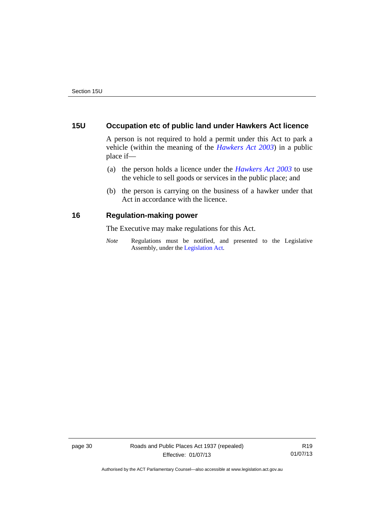## <span id="page-35-0"></span>**15U Occupation etc of public land under Hawkers Act licence**

A person is not required to hold a permit under this Act to park a vehicle (within the meaning of the *[Hawkers Act 2003](http://www.legislation.act.gov.au/a/2003-10)*) in a public place if—

- (a) the person holds a licence under the *[Hawkers Act 2003](http://www.legislation.act.gov.au/a/2003-10)* to use the vehicle to sell goods or services in the public place; and
- (b) the person is carrying on the business of a hawker under that Act in accordance with the licence.

## <span id="page-35-1"></span>**16 Regulation-making power**

The Executive may make regulations for this Act.

*Note* Regulations must be notified, and presented to the Legislative Assembly, under the [Legislation Act](http://www.legislation.act.gov.au/a/2001-14).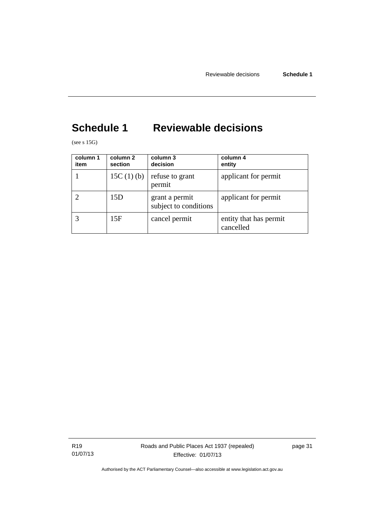## <span id="page-36-0"></span>**Schedule 1 Reviewable decisions**

(see s 15G)

| column 1<br>item | column 2<br>section | column 3<br>decision                    | column 4<br>entity                  |
|------------------|---------------------|-----------------------------------------|-------------------------------------|
|                  | 15C $(1)$ $(b)$     | refuse to grant<br>permit               | applicant for permit                |
|                  | 15D                 | grant a permit<br>subject to conditions | applicant for permit                |
|                  | 15F                 | cancel permit                           | entity that has permit<br>cancelled |

R19 01/07/13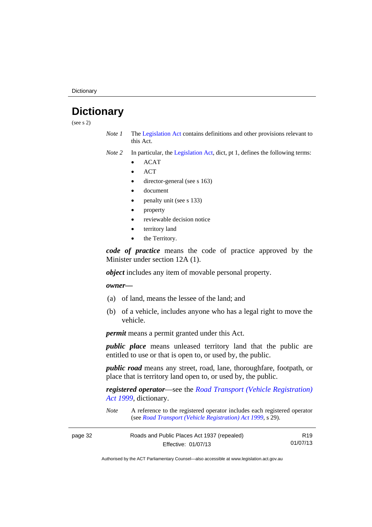**Dictionary** 

## <span id="page-37-0"></span>**Dictionary**

(see s 2)

- *Note 1* The [Legislation Act](http://www.legislation.act.gov.au/a/2001-14) contains definitions and other provisions relevant to this Act.
- *Note 2* In particular, the [Legislation Act,](http://www.legislation.act.gov.au/a/2001-14) dict, pt 1, defines the following terms:
	- ACAT
	- **ACT**
	- director-general (see s 163)
	- document
	- penalty unit (see s 133)
	- property
	- reviewable decision notice
	- territory land
	- the Territory.

*code of practice* means the code of practice approved by the Minister under section 12A (1).

*object* includes any item of movable personal property.

#### *owner––*

- (a) of land, means the lessee of the land; and
- (b) of a vehicle, includes anyone who has a legal right to move the vehicle.

*permit* means a permit granted under this Act.

*public place* means unleased territory land that the public are entitled to use or that is open to, or used by, the public.

*public road* means any street, road, lane, thoroughfare, footpath, or place that is territory land open to, or used by, the public.

*registered operator*––see the *[Road Transport \(Vehicle Registration\)](http://www.legislation.act.gov.au/a/1999-81)  [Act 1999](http://www.legislation.act.gov.au/a/1999-81)*, dictionary.

*Note* A reference to the registered operator includes each registered operator (see *[Road Transport \(Vehicle Registration\) Act 1999](http://www.legislation.act.gov.au/a/1999-81)*, s 29).

| page 32 | Roads and Public Places Act 1937 (repealed) | R19      |
|---------|---------------------------------------------|----------|
|         | Effective: 01/07/13                         | 01/07/13 |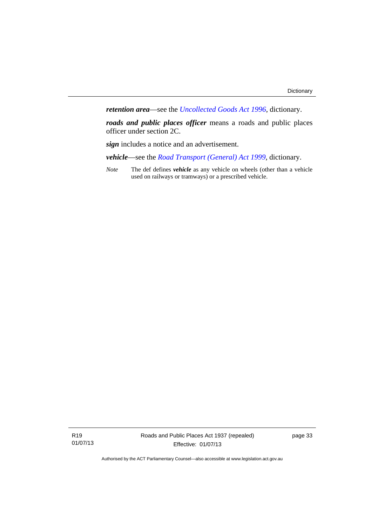*retention area*—see the *[Uncollected Goods Act 1996](http://www.legislation.act.gov.au/a/1996-86)*, dictionary.

*roads and public places officer* means a roads and public places officer under section 2C.

*sign* includes a notice and an advertisement.

*vehicle*—see the *[Road Transport \(General\) Act 1999](http://www.legislation.act.gov.au/a/1999-77)*, dictionary.

*Note* The def defines *vehicle* as any vehicle on wheels (other than a vehicle used on railways or tramways) or a prescribed vehicle.

R19 01/07/13 Roads and Public Places Act 1937 (repealed) Effective: 01/07/13

page 33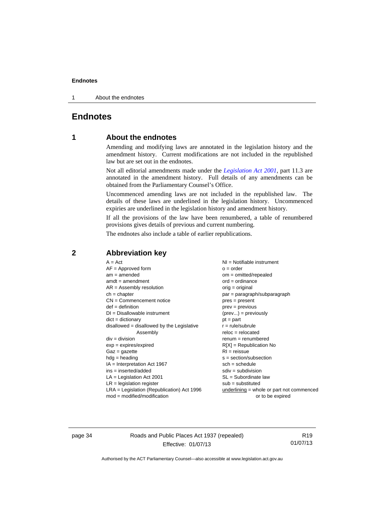1 About the endnotes

## <span id="page-39-0"></span>**Endnotes**

## **1 About the endnotes**

Amending and modifying laws are annotated in the legislation history and the amendment history. Current modifications are not included in the republished law but are set out in the endnotes.

Not all editorial amendments made under the *[Legislation Act 2001](http://www.legislation.act.gov.au/a/2001-14)*, part 11.3 are annotated in the amendment history. Full details of any amendments can be obtained from the Parliamentary Counsel's Office.

Uncommenced amending laws are not included in the republished law. The details of these laws are underlined in the legislation history. Uncommenced expiries are underlined in the legislation history and amendment history.

If all the provisions of the law have been renumbered, a table of renumbered provisions gives details of previous and current numbering.

The endnotes also include a table of earlier republications.

## <span id="page-39-2"></span>**2 Abbreviation key**

page 34 Roads and Public Places Act 1937 (repealed) Effective: 01/07/13

R19 01/07/13

<span id="page-39-1"></span>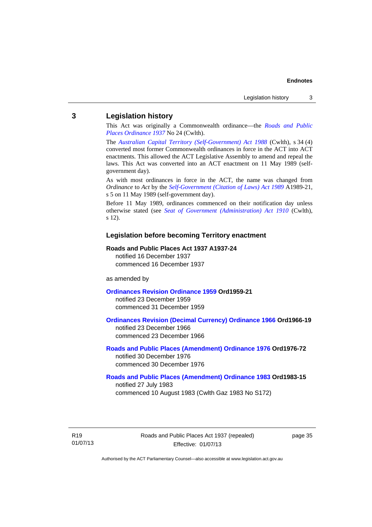### <span id="page-40-0"></span>**3 Legislation history**

This Act was originally a Commonwealth ordinance—the *[Roads and Public](http://www.legislation.act.gov.au/a/1937-24)  [Places Ordinance 1937](http://www.legislation.act.gov.au/a/1937-24)* No 24 (Cwlth).

The *[Australian Capital Territory \(Self-Government\) Act 1988](http://www.comlaw.gov.au/Current/C2004A03699)* (Cwlth), s 34 (4) converted most former Commonwealth ordinances in force in the ACT into ACT enactments. This allowed the ACT Legislative Assembly to amend and repeal the laws. This Act was converted into an ACT enactment on 11 May 1989 (selfgovernment day).

As with most ordinances in force in the ACT, the name was changed from *Ordinance* to *Act* by the *[Self-Government \(Citation of Laws\) Act 1989](http://www.legislation.act.gov.au/a/alt_ord1989-21/default.asp)* A1989-21, s 5 on 11 May 1989 (self-government day).

Before 11 May 1989, ordinances commenced on their notification day unless otherwise stated (see *[Seat of Government \(Administration\) Act 1910](http://www.comlaw.gov.au/Current/C1910A00025)* (Cwlth), s 12).

#### **Legislation before becoming Territory enactment**

#### **Roads and Public Places Act 1937 A1937-24**

notified 16 December 1937 commenced 16 December 1937

as amended by

#### **[Ordinances Revision Ordinance 1959](http://www.legislation.act.gov.au/a/1959-21) Ord1959-21**

notified 23 December 1959 commenced 31 December 1959

#### **[Ordinances Revision \(Decimal Currency\) Ordinance 1966](http://www.legislation.act.gov.au/a/1966-19) Ord1966-19**  notified 23 December 1966

commenced 23 December 1966

#### **[Roads and Public Places \(Amendment\) Ordinance 1976](http://www.legislation.act.gov.au/a/1976-72) Ord1976-72**  notified 30 December 1976 commenced 30 December 1976

#### **[Roads and Public Places \(Amendment\) Ordinance 1983](http://www.legislation.act.gov.au/a/1983-15) Ord1983-15**

notified 27 July 1983 commenced 10 August 1983 (Cwlth Gaz 1983 No S172)

R19 01/07/13 page 35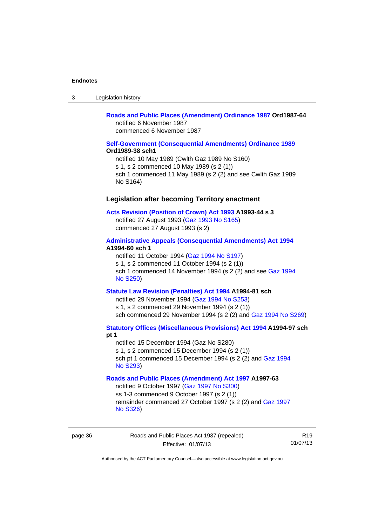| Legislation history<br>-3 |  |
|---------------------------|--|
|---------------------------|--|

#### **[Roads and Public Places \(Amendment\) Ordinance 1987](http://www.legislation.act.gov.au/a/1987-64) Ord1987-64**  notified 6 November 1987 commenced 6 November 1987

#### **[Self-Government \(Consequential Amendments\) Ordinance 1989](http://www.legislation.act.gov.au/a/1989-38) Ord1989-38 sch1**

notified 10 May 1989 (Cwlth Gaz 1989 No S160) s 1, s 2 commenced 10 May 1989 (s 2 (1)) sch 1 commenced 11 May 1989 (s 2 (2) and see Cwlth Gaz 1989 No S164)

### **Legislation after becoming Territory enactment**

#### **[Acts Revision \(Position of Crown\) Act 1993](http://www.legislation.act.gov.au/a/1993-44) A1993-44 s 3**

notified 27 August 1993 [\(Gaz 1993 No S165](http://www.legislation.act.gov.au/gaz/1993-S165/default.asp)) commenced 27 August 1993 (s 2)

#### **[Administrative Appeals \(Consequential Amendments\) Act 1994](http://www.legislation.act.gov.au/a/1994-60) A1994-60 sch 1**

notified 11 October 1994 ([Gaz 1994 No S197\)](http://www.legislation.act.gov.au/gaz/1994-S197/default.asp) s 1, s 2 commenced 11 October 1994 (s 2 (1)) sch 1 commenced 14 November 1994 (s 2 (2) and see [Gaz 1994](http://www.legislation.act.gov.au/gaz/1994-S250/default.asp)  [No S250\)](http://www.legislation.act.gov.au/gaz/1994-S250/default.asp)

#### **[Statute Law Revision \(Penalties\) Act 1994](http://www.legislation.act.gov.au/a/1994-81) A1994-81 sch**

notified 29 November 1994 [\(Gaz 1994 No S253](http://www.legislation.act.gov.au/gaz/1994-S253/default.asp)) s 1, s 2 commenced 29 November 1994 (s 2 (1)) sch commenced 29 November 1994 (s 2 (2) and [Gaz 1994 No S269](http://www.legislation.act.gov.au/gaz/1994-S269/default.asp))

#### **[Statutory Offices \(Miscellaneous Provisions\) Act 1994](http://www.legislation.act.gov.au/a/1994-97) A1994-97 sch pt 1**

notified 15 December 1994 (Gaz No S280) s 1, s 2 commenced 15 December 1994 (s 2 (1)) sch pt 1 commenced 15 December 1994 (s 2 (2) and [Gaz 1994](http://www.legislation.act.gov.au/gaz/1994-S293/default.asp)  [No S293\)](http://www.legislation.act.gov.au/gaz/1994-S293/default.asp)

#### **[Roads and Public Places \(Amendment\) Act 1997](http://www.legislation.act.gov.au/a/1997-63) A1997-63**

notified 9 October 1997 [\(Gaz 1997 No S300](http://www.legislation.act.gov.au/gaz/1997-S300/default.asp)) ss 1-3 commenced 9 October 1997 (s 2 (1)) remainder commenced 27 October 1997 (s 2 (2) and [Gaz 1997](http://www.legislation.act.gov.au/gaz/1997-S326/default.asp)  [No S326\)](http://www.legislation.act.gov.au/gaz/1997-S326/default.asp)

page 36 Roads and Public Places Act 1937 (repealed) Effective: 01/07/13

R19 01/07/13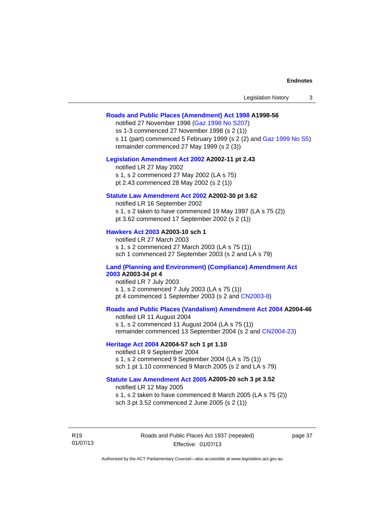| Legislation history |  |  |
|---------------------|--|--|
|---------------------|--|--|

#### **[Roads and Public Places \(Amendment\) Act 1998](http://www.legislation.act.gov.au/a/1998-56) A1998-56**

notified 27 November 1998 [\(Gaz 1998 No S207](http://www.legislation.act.gov.au/gaz/1998-S207/default.asp)) ss 1-3 commenced 27 November 1998 (s 2 (1)) s 11 (part) commenced 5 February 1999 (s 2 (2) and [Gaz 1999 No S5\)](http://www.legislation.act.gov.au/gaz/1999-S5/default.asp) remainder commenced 27 May 1999 (s 2 (3))

#### **[Legislation Amendment Act 2002](http://www.legislation.act.gov.au/a/2002-11) A2002-11 pt 2.43**

notified LR 27 May 2002 s 1, s 2 commenced 27 May 2002 (LA s 75) pt 2.43 commenced 28 May 2002 (s 2 (1))

#### **[Statute Law Amendment Act 2002](http://www.legislation.act.gov.au/a/2002-30) A2002-30 pt 3.62**

notified LR 16 September 2002 s 1, s 2 taken to have commenced 19 May 1997 (LA s 75 (2)) pt 3.62 commenced 17 September 2002 (s 2 (1))

#### **[Hawkers Act 2003](http://www.legislation.act.gov.au/a/2003-10) A2003-10 sch 1**

notified LR 27 March 2003 s 1, s 2 commenced 27 March 2003 (LA s 75 (1)) sch 1 commenced 27 September 2003 (s 2 and LA s 79)

#### **[Land \(Planning and Environment\) \(Compliance\) Amendment Act](http://www.legislation.act.gov.au/a/2003-34)  [2003](http://www.legislation.act.gov.au/a/2003-34) A2003-34 pt 4**

notified LR 7 July 2003 s 1, s 2 commenced 7 July 2003 (LA s 75 (1)) pt 4 commenced 1 September 2003 (s 2 and [CN2003-8](http://www.legislation.act.gov.au/cn/2003-8/default.asp))

#### **[Roads and Public Places \(Vandalism\) Amendment Act 2004](http://www.legislation.act.gov.au/a/2004-46) A2004-46**

notified LR 11 August 2004 s 1, s 2 commenced 11 August 2004 (LA s 75 (1)) remainder commenced 13 September 2004 (s 2 and [CN2004-23\)](http://www.legislation.act.gov.au/cn/2004-23/default.asp)

#### **[Heritage Act 2004](http://www.legislation.act.gov.au/a/2004-57) A2004-57 sch 1 pt 1.10**

notified LR 9 September 2004 s 1, s 2 commenced 9 September 2004 (LA s 75 (1)) sch 1 pt 1.10 commenced 9 March 2005 (s 2 and LA s 79)

#### **[Statute Law Amendment Act 2005](http://www.legislation.act.gov.au/a/2005-20) A2005-20 sch 3 pt 3.52**

notified LR 12 May 2005 s 1, s 2 taken to have commenced 8 March 2005 (LA s 75 (2)) sch 3 pt 3.52 commenced 2 June 2005 (s 2 (1))

R19 01/07/13 page 37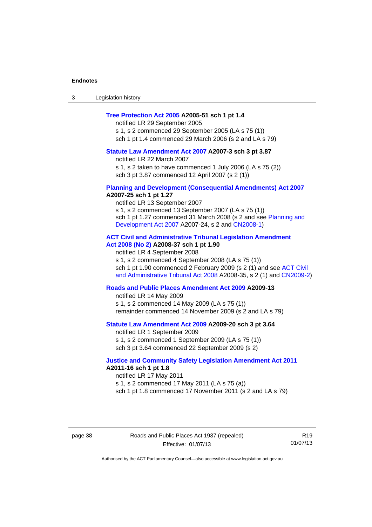| $\sqrt{2}$<br>- 3 | Legislation history |
|-------------------|---------------------|
|-------------------|---------------------|

#### **[Tree Protection Act 2005](http://www.legislation.act.gov.au/a/2005-51) A2005-51 sch 1 pt 1.4**

notified LR 29 September 2005 s 1, s 2 commenced 29 September 2005 (LA s 75 (1)) sch 1 pt 1.4 commenced 29 March 2006 (s 2 and LA s 79)

## **[Statute Law Amendment Act 2007](http://www.legislation.act.gov.au/a/2007-3) A2007-3 sch 3 pt 3.87**

notified LR 22 March 2007 s 1, s 2 taken to have commenced 1 July 2006 (LA s 75 (2)) sch 3 pt 3.87 commenced 12 April 2007 (s 2 (1))

#### **[Planning and Development \(Consequential Amendments\) Act 2007](http://www.legislation.act.gov.au/a/2007-25) A2007-25 sch 1 pt 1.27**

notified LR 13 September 2007 s 1, s 2 commenced 13 September 2007 (LA s 75 (1)) sch 1 pt 1.27 commenced 31 March 2008 (s 2 and see [Planning and](http://www.legislation.act.gov.au/a/2007-24)  [Development Act 2007](http://www.legislation.act.gov.au/a/2007-24) A2007-24, s 2 and [CN2008-1](http://www.legislation.act.gov.au/cn/2008-1/default.asp))

## **[ACT Civil and Administrative Tribunal Legislation Amendment](http://www.legislation.act.gov.au/a/2008-37)  [Act 2008 \(No 2\)](http://www.legislation.act.gov.au/a/2008-37) A2008-37 sch 1 pt 1.90**

notified LR 4 September 2008

s 1, s 2 commenced 4 September 2008 (LA s 75 (1)) sch 1 pt 1.90 commenced 2 February 2009 (s 2 (1) and see [ACT Civil](http://www.legislation.act.gov.au/a/2008-35)  [and Administrative Tribunal Act 2008](http://www.legislation.act.gov.au/a/2008-35) A2008-35, s 2 (1) and [CN2009-2](http://www.legislation.act.gov.au/cn/2009-2/default.asp))

#### **[Roads and Public Places Amendment Act 2009](http://www.legislation.act.gov.au/a/2009-13) A2009-13**

notified LR 14 May 2009 s 1, s 2 commenced 14 May 2009 (LA s 75 (1)) remainder commenced 14 November 2009 (s 2 and LA s 79)

#### **[Statute Law Amendment Act 2009](http://www.legislation.act.gov.au/a/2009-20) A2009-20 sch 3 pt 3.64**

notified LR 1 September 2009 s 1, s 2 commenced 1 September 2009 (LA s 75 (1)) sch 3 pt 3.64 commenced 22 September 2009 (s 2)

#### **[Justice and Community Safety Legislation Amendment Act 2011](http://www.legislation.act.gov.au/a/2011-16) A2011-16 sch 1 pt 1.8**

notified LR 17 May 2011 s 1, s 2 commenced 17 May 2011 (LA s 75 (a)) sch 1 pt 1.8 commenced 17 November 2011 (s 2 and LA s 79)

R19 01/07/13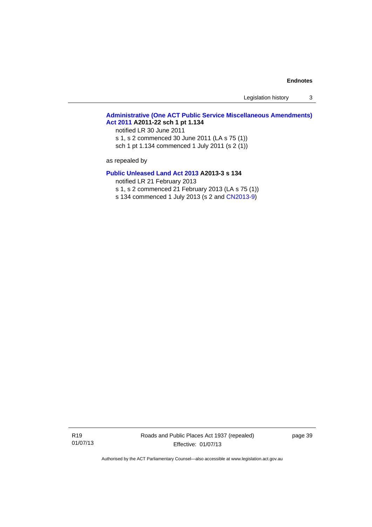Legislation history 3

### **[Administrative \(One ACT Public Service Miscellaneous Amendments\)](http://www.legislation.act.gov.au/a/2011-22)  [Act 2011](http://www.legislation.act.gov.au/a/2011-22) A2011-22 sch 1 pt 1.134**

notified LR 30 June 2011 s 1, s 2 commenced 30 June 2011 (LA s 75 (1)) sch 1 pt 1.134 commenced 1 July 2011 (s 2 (1))

as repealed by

#### **[Public Unleased Land Act 2013](http://www.legislation.act.gov.au/a/2013-3/default.asp) A2013-3 s 134**

notified LR 21 February 2013

s 1, s 2 commenced 21 February 2013 (LA s 75 (1))

s 134 commenced 1 July 2013 (s 2 and [CN2013-9\)](http://www.legislation.act.gov.au/cn/2013-9/default.asp)

R19 01/07/13 Roads and Public Places Act 1937 (repealed) Effective: 01/07/13

page 39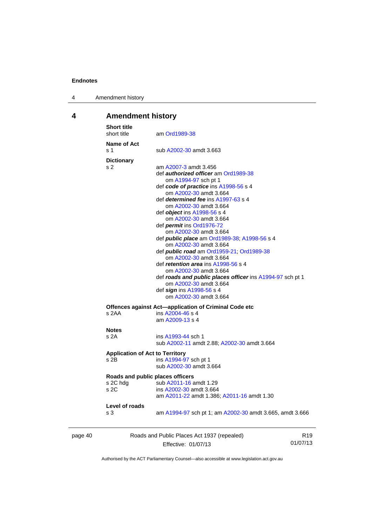4 Amendment history

## <span id="page-45-0"></span>**4 Amendment history**

| <b>Short title</b><br>short title                               | am Ord1989-38                                                                                                                                                                                                                                                                                                                                                                                                                                                                                                                                                                                                                                                                                                                  |
|-----------------------------------------------------------------|--------------------------------------------------------------------------------------------------------------------------------------------------------------------------------------------------------------------------------------------------------------------------------------------------------------------------------------------------------------------------------------------------------------------------------------------------------------------------------------------------------------------------------------------------------------------------------------------------------------------------------------------------------------------------------------------------------------------------------|
| Name of Act<br>s 1                                              | sub A2002-30 amdt 3.663                                                                                                                                                                                                                                                                                                                                                                                                                                                                                                                                                                                                                                                                                                        |
| <b>Dictionary</b><br>s 2                                        | am A2007-3 amdt 3.456<br>def <b>authorized officer</b> am Ord1989-38<br>om A1994-97 sch pt 1<br>def code of practice ins A1998-56 s 4<br>om A2002-30 amdt 3.664<br>def determined fee ins A1997-63 s 4<br>om A2002-30 amdt 3.664<br>def object ins A1998-56 s 4<br>om A2002-30 amdt 3.664<br>def <i>permit</i> ins Ord1976-72<br>om A2002-30 amdt 3.664<br>def <i>public place</i> am Ord1989-38; A1998-56 s 4<br>om A2002-30 amdt 3.664<br>def public road am Ord1959-21; Ord1989-38<br>om A2002-30 amdt 3.664<br>def retention area ins A1998-56 s 4<br>om A2002-30 amdt 3.664<br>def roads and public places officer ins A1994-97 sch pt 1<br>om A2002-30 amdt 3.664<br>def sign ins A1998-56 s 4<br>om A2002-30 amdt 3.664 |
| s 2AA                                                           | Offences against Act-application of Criminal Code etc<br>ins A2004-46 s 4<br>am A2009-13 s 4                                                                                                                                                                                                                                                                                                                                                                                                                                                                                                                                                                                                                                   |
| <b>Notes</b><br>s 2A                                            | ins A1993-44 sch 1<br>sub A2002-11 amdt 2.88; A2002-30 amdt 3.664                                                                                                                                                                                                                                                                                                                                                                                                                                                                                                                                                                                                                                                              |
| <b>Application of Act to Territory</b><br>s 2B                  | ins A1994-97 sch pt 1<br>sub A2002-30 amdt 3.664                                                                                                                                                                                                                                                                                                                                                                                                                                                                                                                                                                                                                                                                               |
| Roads and public places officers<br>s 2C hdg<br>s <sub>2C</sub> | sub A2011-16 amdt 1.29<br>ins A2002-30 amdt 3.664<br>am A2011-22 amdt 1.386; A2011-16 amdt 1.30                                                                                                                                                                                                                                                                                                                                                                                                                                                                                                                                                                                                                                |
| Level of roads<br>s 3                                           | am A1994-97 sch pt 1; am A2002-30 amdt 3.665, amdt 3.666                                                                                                                                                                                                                                                                                                                                                                                                                                                                                                                                                                                                                                                                       |

page 40 Roads and Public Places Act 1937 (repealed) Effective: 01/07/13

R19 01/07/13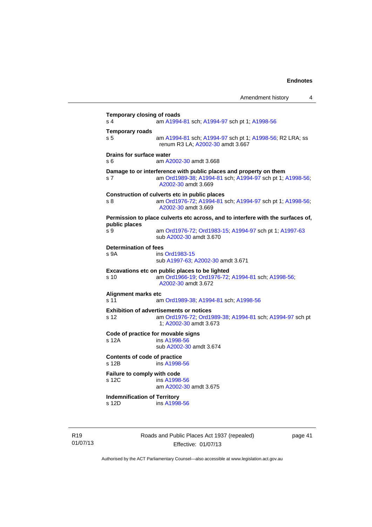|                                                     | Amendment history                                                                                                                                     | 4 |
|-----------------------------------------------------|-------------------------------------------------------------------------------------------------------------------------------------------------------|---|
| <b>Temporary closing of roads</b><br>s <sub>4</sub> | am A1994-81 sch; A1994-97 sch pt 1; A1998-56                                                                                                          |   |
| <b>Temporary roads</b><br>s <sub>5</sub>            | am A1994-81 sch; A1994-97 sch pt 1; A1998-56; R2 LRA; ss<br>renum R3 LA; A2002-30 amdt 3.667                                                          |   |
| Drains for surface water<br>s 6                     | am A2002-30 amdt 3.668                                                                                                                                |   |
| s 7                                                 | Damage to or interference with public places and property on them<br>am Ord1989-38; A1994-81 sch; A1994-97 sch pt 1; A1998-56;<br>A2002-30 amdt 3.669 |   |
| s <sub>8</sub>                                      | Construction of culverts etc in public places<br>am Ord1976-72, A1994-81 sch; A1994-97 sch pt 1; A1998-56;<br>A2002-30 amdt 3.669                     |   |
|                                                     | Permission to place culverts etc across, and to interfere with the surfaces of,                                                                       |   |
| public places<br>s 9                                | am Ord1976-72, Ord1983-15; A1994-97 sch pt 1; A1997-63<br>sub A2002-30 amdt 3.670                                                                     |   |
| <b>Determination of fees</b><br>s 9A                | ins Ord1983-15<br>sub A1997-63; A2002-30 amdt 3.671                                                                                                   |   |
| s 10                                                | Excavations etc on public places to be lighted<br>am Ord1966-19; Ord1976-72; A1994-81 sch; A1998-56;<br>A2002-30 amdt 3.672                           |   |
| Alignment marks etc<br>s 11                         | am Ord1989-38; A1994-81 sch; A1998-56                                                                                                                 |   |
| s 12                                                | <b>Exhibition of advertisements or notices</b><br>am Ord1976-72; Ord1989-38; A1994-81 sch; A1994-97 sch pt<br>1; A2002-30 amdt 3.673                  |   |
| s 12A                                               | Code of practice for movable signs<br>ins A1998-56<br>sub A2002-30 amdt 3.674                                                                         |   |
| <b>Contents of code of practice</b><br>s 12B        | ins A1998-56                                                                                                                                          |   |
| <b>Failure to comply with code</b><br>s 12C         | ins A1998-56<br>am A2002-30 amdt 3.675                                                                                                                |   |
| <b>Indemnification of Territory</b><br>s 12D        | ins A1998-56                                                                                                                                          |   |
|                                                     |                                                                                                                                                       |   |

R19 01/07/13 Roads and Public Places Act 1937 (repealed) Effective: 01/07/13

page 41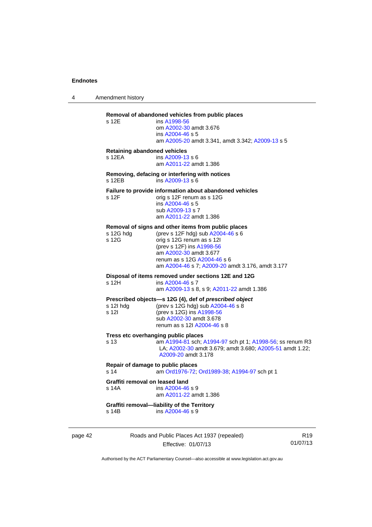4 Amendment history

## **Removal of abandoned vehicles from public places**

| s 12E | ins A1998-56                                     |
|-------|--------------------------------------------------|
|       | om A2002-30 amdt 3.676                           |
|       | ins A2004-46 s 5                                 |
|       | am A2005-20 amdt 3.341, amdt 3.342; A2009-13 s 5 |

#### **Retaining abandoned vehicles**

s 12EA **ins [A2009-13](http://www.legislation.act.gov.au/a/2009-13) s 6** am [A2011-22](http://www.legislation.act.gov.au/a/2011-22) amdt 1.386

#### **Removing, defacing or interfering with notices**  s 12EB ins [A2009-13](http://www.legislation.act.gov.au/a/2009-13) s 6

## **Failure to provide information about abandoned vehicles**<br>s 12F orig s 12F renum as s 12G

orig s 12F renum as s 12G ins [A2004-46](http://www.legislation.act.gov.au/a/2004-46) s 5 sub [A2009-13](http://www.legislation.act.gov.au/a/2009-13) s 7 am [A2011-22](http://www.legislation.act.gov.au/a/2011-22) amdt 1.386

#### **Removal of signs and other items from public places**

| s 12G hdg<br>s 12G                        | (prev s 12F hdg) sub A2004-46 s 6<br>orig s 12G renum as s 12l<br>(prev s 12F) ins A1998-56<br>am A2002-30 amdt 3.677<br>renum as s 12G A2004-46 s 6<br>am A2004-46 s 7; A2009-20 amdt 3.176, amdt 3.177 |
|-------------------------------------------|----------------------------------------------------------------------------------------------------------------------------------------------------------------------------------------------------------|
| s 12H                                     | Disposal of items removed under sections 12E and 12G<br>ins A2004-46 s 7<br>am A2009-13 s 8, s 9; A2011-22 amdt 1.386                                                                                    |
| s 12l hdg<br>s 12l                        | Prescribed objects—s 12G (4), def of prescribed object<br>(prev s 12G hdg) sub A2004-46 s 8<br>(prev s 12G) ins A1998-56<br>sub A2002-30 amdt 3.678<br>renum as s 12l A2004-46 s 8                       |
| s 13                                      | Tress etc overhanging public places<br>am A1994-81 sch; A1994-97 sch pt 1; A1998-56; ss renum R3<br>LA: A2002-30 amdt 3.679; amdt 3.680; A2005-51 amdt 1.22;<br>A2009-20 amdt 3.178                      |
| Repair of damage to public places<br>s 14 | am Ord1976-72; Ord1989-38; A1994-97 sch pt 1                                                                                                                                                             |
| Graffiti removal on leased land<br>s 14A  | ins A2004-46 s 9<br>am A2011-22 amdt 1.386                                                                                                                                                               |

#### **Graffiti removal—liability of the Territory**  ins [A2004-46](http://www.legislation.act.gov.au/a/2004-46) s 9

page 42 Roads and Public Places Act 1937 (repealed) Effective: 01/07/13

R19 01/07/13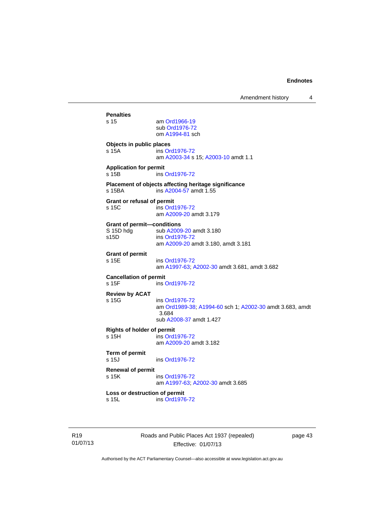| Amendment history |  |
|-------------------|--|
|-------------------|--|

**Penalties**  am [Ord1966-19](http://www.legislation.act.gov.au/a/1966-19) sub [Ord1976-72](http://www.legislation.act.gov.au/a/1976-72) om [A1994-81](http://www.legislation.act.gov.au/a/1994-81) sch **Objects in public places**  s 15A ins [Ord1976-72](http://www.legislation.act.gov.au/a/1976-72) am [A2003-34](http://www.legislation.act.gov.au/a/2003-34) s 15; [A2003-10](http://www.legislation.act.gov.au/a/2003-10) amdt 1.1 **Application for permit**  ins [Ord1976-72](http://www.legislation.act.gov.au/a/1976-72) **Placement of objects affecting heritage significance**  s 15BA ins [A2004-57](http://www.legislation.act.gov.au/a/2004-57) amdt 1.55 **Grant or refusal of permit**  s 15C ins [Ord1976-72](http://www.legislation.act.gov.au/a/1976-72) am [A2009-20](http://www.legislation.act.gov.au/a/2009-20) amdt 3.179 Grant of permit-conditions<br>
S 15D hdg sub A2009 S 15D hdg sub [A2009-20](http://www.legislation.act.gov.au/a/2009-20) amdt 3.180<br>s15D ins Ord1976-72 ins [Ord1976-72](http://www.legislation.act.gov.au/a/1976-72) am [A2009-20](http://www.legislation.act.gov.au/a/2009-20) amdt 3.180, amdt 3.181 **Grant of permit**  s 15E ins [Ord1976-72](http://www.legislation.act.gov.au/a/1976-72) am [A1997-63](http://www.legislation.act.gov.au/a/1997-63); [A2002-30](http://www.legislation.act.gov.au/a/2002-30) amdt 3.681, amdt 3.682 **Cancellation of permit**<br>s 15F ins ins [Ord1976-72](http://www.legislation.act.gov.au/a/1976-72) **Review by ACAT**  s 15G ins [Ord1976-72](http://www.legislation.act.gov.au/a/1976-72) am [Ord1989-38](http://www.legislation.act.gov.au/a/1989-38); [A1994-60](http://www.legislation.act.gov.au/a/1994-60) sch 1; [A2002-30](http://www.legislation.act.gov.au/a/2002-30) amdt 3.683, amdt 3.684 sub [A2008-37](http://www.legislation.act.gov.au/a/2008-37) amdt 1.427 **Rights of holder of permit**  s 15H ins [Ord1976-72](http://www.legislation.act.gov.au/a/1976-72) am [A2009-20](http://www.legislation.act.gov.au/a/2009-20) amdt 3.182 **Term of permit**  s 15J ins [Ord1976-72](http://www.legislation.act.gov.au/a/1976-72) **Renewal of permit**  s 15K ins [Ord1976-72](http://www.legislation.act.gov.au/a/1976-72) am [A1997-63](http://www.legislation.act.gov.au/a/1997-63); [A2002-30](http://www.legislation.act.gov.au/a/2002-30) amdt 3.685 **Loss or destruction of permit**  s 15L ins [Ord1976-72](http://www.legislation.act.gov.au/a/1976-72)

R19 01/07/13 Roads and Public Places Act 1937 (repealed) Effective: 01/07/13

page 43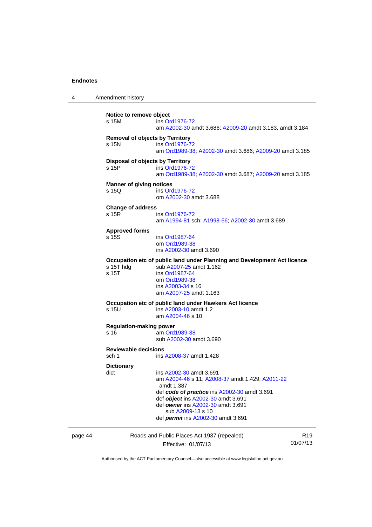4 Amendment history **Notice to remove object**  s 15M ins [Ord1976-72](http://www.legislation.act.gov.au/a/1976-72) am [A2002-30](http://www.legislation.act.gov.au/a/2002-30) amdt 3.686; [A2009-20](http://www.legislation.act.gov.au/a/2009-20) amdt 3.183, amdt 3.184 **Removal of objects by Territory**  s 15N ins [Ord1976-72](http://www.legislation.act.gov.au/a/1976-72) am [Ord1989-38](http://www.legislation.act.gov.au/a/1989-38); [A2002-30](http://www.legislation.act.gov.au/a/2002-30) amdt 3.686; [A2009-20](http://www.legislation.act.gov.au/a/2009-20) amdt 3.185 **Disposal of objects by Territory**  s 15P ins [Ord1976-72](http://www.legislation.act.gov.au/a/1976-72) am [Ord1989-38](http://www.legislation.act.gov.au/a/1989-38); [A2002-30](http://www.legislation.act.gov.au/a/2002-30) amdt 3.687; [A2009-20](http://www.legislation.act.gov.au/a/2009-20) amdt 3.185 **Manner of giving notices**  s 15Q ins [Ord1976-72](http://www.legislation.act.gov.au/a/1976-72) om [A2002-30](http://www.legislation.act.gov.au/a/2002-30) amdt 3.688 **Change of address**  s 15R ins [Ord1976-72](http://www.legislation.act.gov.au/a/1976-72) am [A1994-81](http://www.legislation.act.gov.au/a/1994-81) sch; [A1998-56](http://www.legislation.act.gov.au/a/1998-56); [A2002-30](http://www.legislation.act.gov.au/a/2002-30) amdt 3.689 **Approved forms**  ins [Ord1987-64](http://www.legislation.act.gov.au/a/1987-64) om [Ord1989-38](http://www.legislation.act.gov.au/a/1989-38) ins [A2002-30](http://www.legislation.act.gov.au/a/2002-30) amdt 3.690 **Occupation etc of public land under Planning and Development Act licence**  s 15T hdg sub [A2007-25](http://www.legislation.act.gov.au/a/2007-25) amdt 1.162 s 15T ins [Ord1987-64](http://www.legislation.act.gov.au/a/1987-64) om [Ord1989-38](http://www.legislation.act.gov.au/a/1989-38) ins [A2003-34](http://www.legislation.act.gov.au/a/2003-34) s 16 am [A2007-25](http://www.legislation.act.gov.au/a/2007-25) amdt 1.163 **Occupation etc of public land under Hawkers Act licence**  s 15U ins [A2003-10](http://www.legislation.act.gov.au/a/2003-10) amdt 1.2 am [A2004-46](http://www.legislation.act.gov.au/a/2004-46) s 10 **Regulation-making power**  am [Ord1989-38](http://www.legislation.act.gov.au/a/1989-38) sub [A2002-30](http://www.legislation.act.gov.au/a/2002-30) amdt 3.690 **Reviewable decisions**  sch 1 ins [A2008-37](http://www.legislation.act.gov.au/a/2008-37) amdt 1.428 **Dictionary**  ins [A2002-30](http://www.legislation.act.gov.au/a/2002-30) amdt 3.691 am [A2004-46](http://www.legislation.act.gov.au/a/2004-46) s 11; [A2008-37](http://www.legislation.act.gov.au/a/2008-37) amdt 1.429; [A2011-22](http://www.legislation.act.gov.au/a/2011-22) amdt 1.387 def *code of practice* ins [A2002-30](http://www.legislation.act.gov.au/a/2002-30) amdt 3.691 def *object* ins [A2002-30](http://www.legislation.act.gov.au/a/2002-30) amdt 3.691 def *owner* ins [A2002-30](http://www.legislation.act.gov.au/a/2002-30) amdt 3.691 sub [A2009-13](http://www.legislation.act.gov.au/a/2009-13) s 10 def *permit* ins [A2002-30](http://www.legislation.act.gov.au/a/2002-30) amdt 3.691

page 44 Roads and Public Places Act 1937 (repealed) Effective: 01/07/13

R19 01/07/13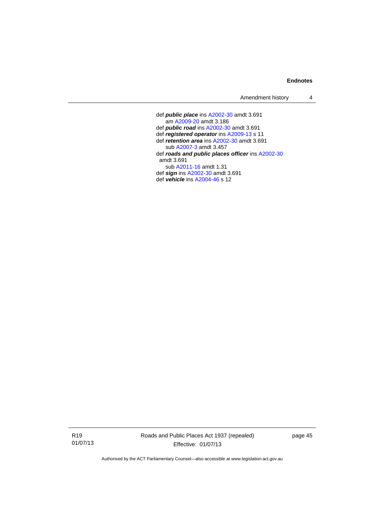Amendment history 4

 def *public place* ins [A2002-30](http://www.legislation.act.gov.au/a/2002-30) amdt 3.691 am [A2009-20](http://www.legislation.act.gov.au/a/2009-20) amdt 3.186 def *public road* ins [A2002-30](http://www.legislation.act.gov.au/a/2002-30) amdt 3.691 def *registered operator* ins [A2009-13](http://www.legislation.act.gov.au/a/2009-13) s 11 def *retention area* ins [A2002-30](http://www.legislation.act.gov.au/a/2002-30) amdt 3.691 sub [A2007-3](http://www.legislation.act.gov.au/a/2007-3) amdt 3.457 def *roads and public places officer* ins [A2002-30](http://www.legislation.act.gov.au/a/2002-30) amdt 3.691 sub [A2011-16](http://www.legislation.act.gov.au/a/2011-16) amdt 1.31 def *sign* ins [A2002-30](http://www.legislation.act.gov.au/a/2002-30) amdt 3.691 def *vehicle* ins [A2004-46](http://www.legislation.act.gov.au/a/2004-46) s 12

R19 01/07/13 Roads and Public Places Act 1937 (repealed) Effective: 01/07/13

page 45